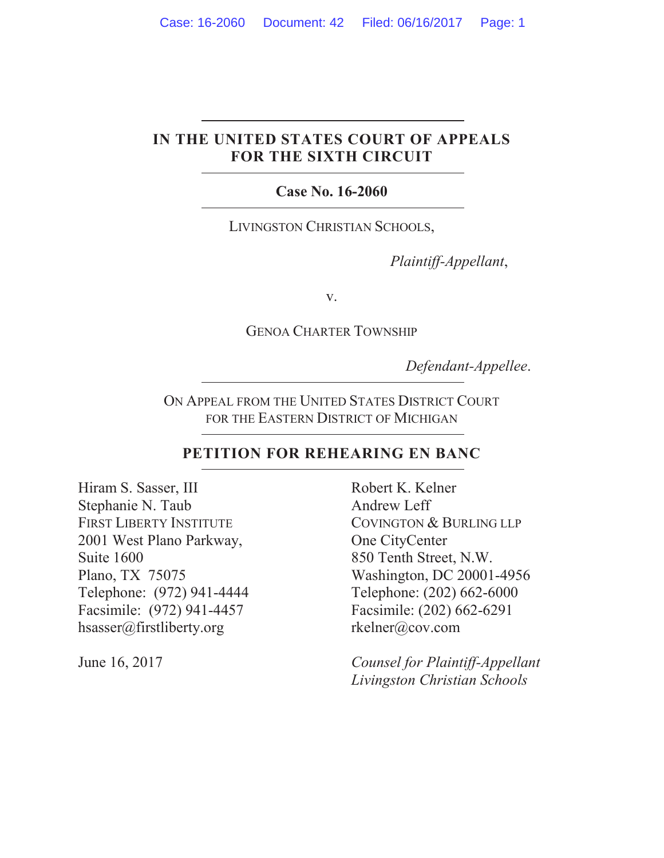# **IN THE UNITED STATES COURT OF APPEALS FOR THE SIXTH CIRCUIT**

# **Case No. 16-2060**

LIVINGSTON CHRISTIAN SCHOOLS,

*Plaintiff-Appellant*,

v.

GENOA CHARTER TOWNSHIP

*Defendant-Appellee*.

ON APPEAL FROM THE UNITED STATES DISTRICT COURT FOR THE EASTERN DISTRICT OF MICHIGAN

## **PETITION FOR REHEARING EN BANC**

Hiram S. Sasser, III Stephanie N. Taub FIRST LIBERTY INSTITUTE 2001 West Plano Parkway, Suite 1600 Plano, TX 75075 Telephone: (972) 941-4444 Facsimile: (972) 941-4457 hsasser@firstliberty.org

Robert K. Kelner Andrew Leff COVINGTON & BURLING LLP One CityCenter 850 Tenth Street, N.W. Washington, DC 20001-4956 Telephone: (202) 662-6000 Facsimile: (202) 662-6291 rkelner@cov.com

June 16, 2017 *Counsel for Plaintiff-Appellant Livingston Christian Schools*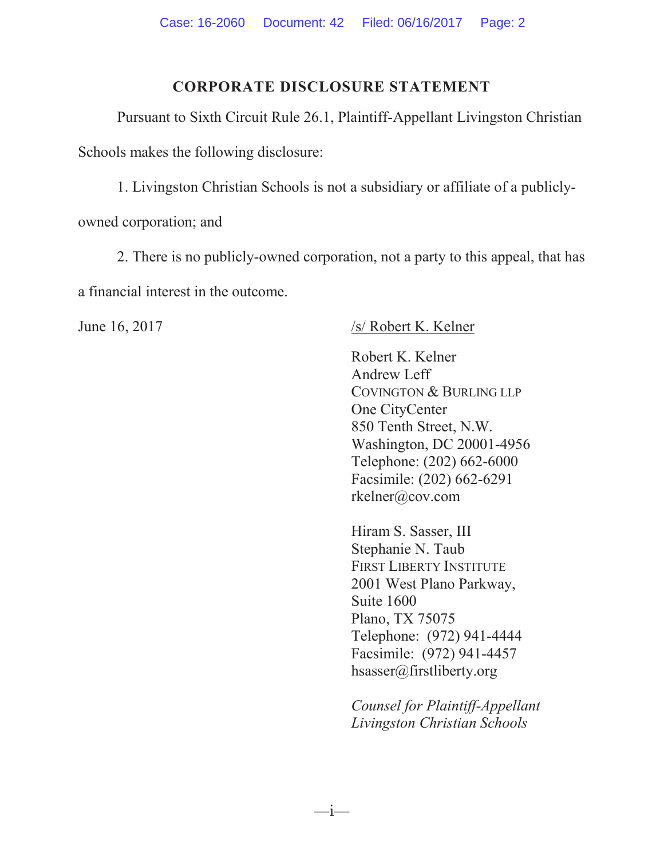# **CORPORATE DISCLOSURE STATEMENT**

Pursuant to Sixth Circuit Rule 26.1, Plaintiff-Appellant Livingston Christian Schools makes the following disclosure:

1. Livingston Christian Schools is not a subsidiary or affiliate of a publiclyowned corporation; and

2. There is no publicly-owned corporation, not a party to this appeal, that has a financial interest in the outcome.

 $-$ i $-$ 

# June 16, 2017 /s/ Robert K. Kelner

Robert K. Kelner Andrew Leff COVINGTON & BURLING LLP One CityCenter 850 Tenth Street, N.W. Washington, DC 20001-4956 Telephone: (202) 662-6000 Facsimile: (202) 662-6291 rkelner@cov.com

Hiram S. Sasser, III Stephanie N. Taub FIRST LIBERTY INSTITUTE 2001 West Plano Parkway, Suite 1600 Plano, TX 75075 Telephone: (972) 941-4444 Facsimile: (972) 941-4457 hsasser@firstliberty.org

*Counsel for Plaintiff-Appellant Livingston Christian Schools*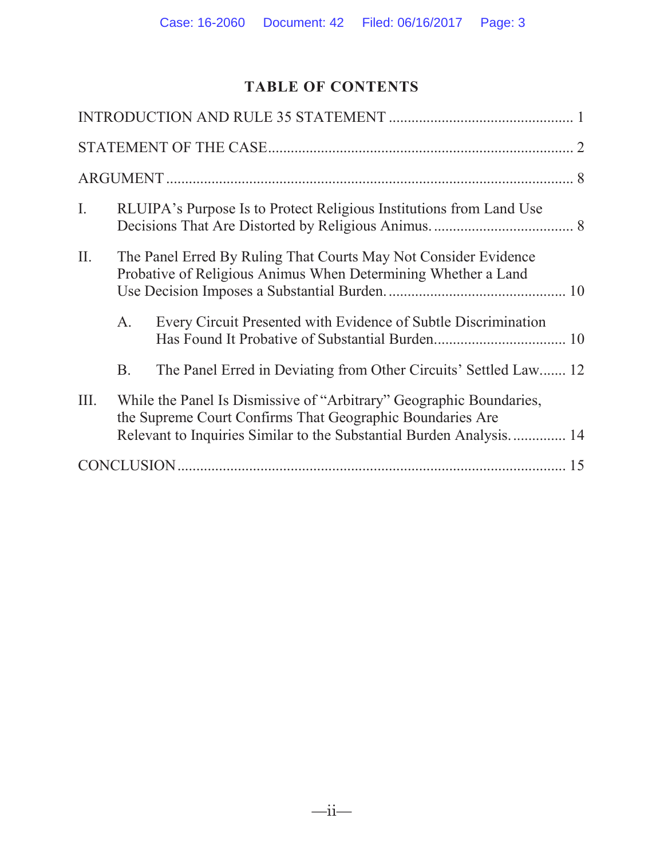# **TABLE OF CONTENTS**

| Ι.   | RLUIPA's Purpose Is to Protect Religious Institutions from Land Use                                                                                                                                     |                                                                  |  |  |
|------|---------------------------------------------------------------------------------------------------------------------------------------------------------------------------------------------------------|------------------------------------------------------------------|--|--|
| II.  | The Panel Erred By Ruling That Courts May Not Consider Evidence<br>Probative of Religious Animus When Determining Whether a Land                                                                        |                                                                  |  |  |
|      | A.                                                                                                                                                                                                      | Every Circuit Presented with Evidence of Subtle Discrimination   |  |  |
|      | <b>B.</b>                                                                                                                                                                                               | The Panel Erred in Deviating from Other Circuits' Settled Law 12 |  |  |
| III. | While the Panel Is Dismissive of "Arbitrary" Geographic Boundaries,<br>the Supreme Court Confirms That Geographic Boundaries Are<br>Relevant to Inquiries Similar to the Substantial Burden Analysis 14 |                                                                  |  |  |
|      |                                                                                                                                                                                                         |                                                                  |  |  |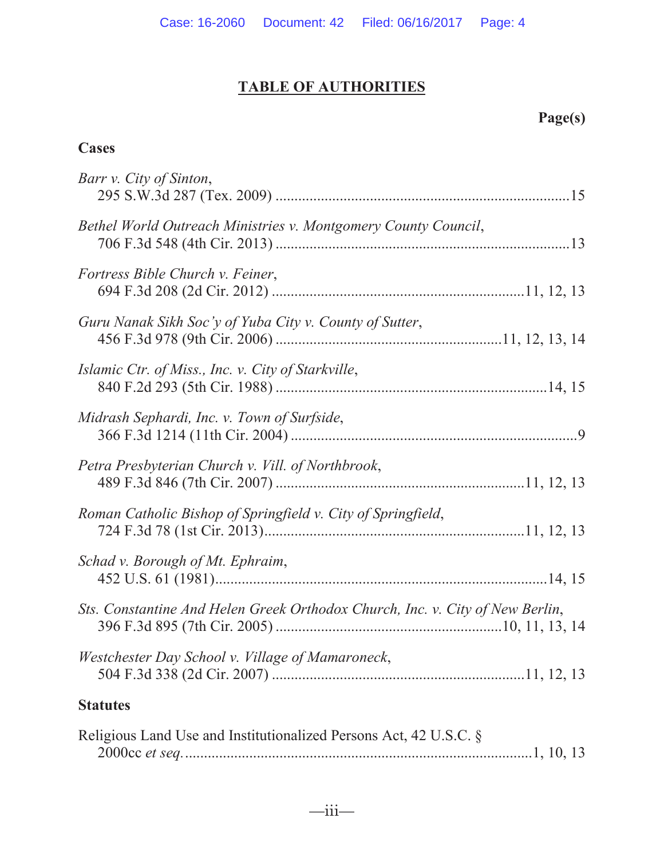# **TABLE OF AUTHORITIES**

# **Page(s)**

# **Cases**

| Barr v. City of Sinton,                                                       |
|-------------------------------------------------------------------------------|
| Bethel World Outreach Ministries v. Montgomery County Council,                |
| Fortress Bible Church v. Feiner,                                              |
| Guru Nanak Sikh Soc'y of Yuba City v. County of Sutter,                       |
| Islamic Ctr. of Miss., Inc. v. City of Starkville,                            |
| Midrash Sephardi, Inc. v. Town of Surfside,                                   |
| Petra Presbyterian Church v. Vill. of Northbrook,                             |
| Roman Catholic Bishop of Springfield v. City of Springfield,                  |
| Schad v. Borough of Mt. Ephraim,                                              |
| Sts. Constantine And Helen Greek Orthodox Church, Inc. v. City of New Berlin, |
| Westchester Day School v. Village of Mamaroneck,                              |
| <b>Statutes</b>                                                               |
| Religious Land Use and Institutionalized Persons Act, 42 U.S.C. §             |

2000cc *et seq.*............................................................................................1, 10, 13

 $\frac{1}{\text{ii}-}$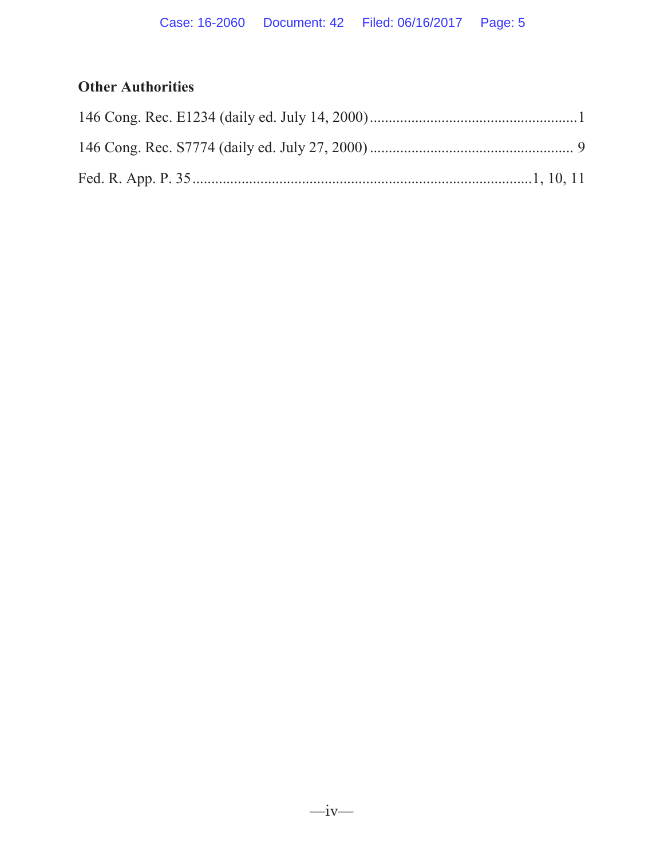# **Other Authorities**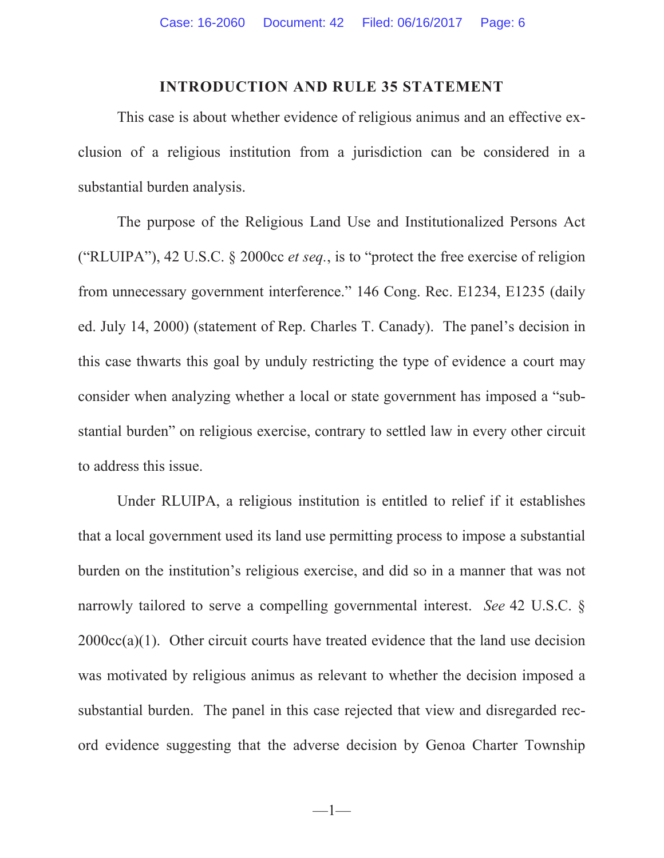## **INTRODUCTION AND RULE 35 STATEMENT**

This case is about whether evidence of religious animus and an effective exclusion of a religious institution from a jurisdiction can be considered in a substantial burden analysis.

The purpose of the Religious Land Use and Institutionalized Persons Act ("RLUIPA"), 42 U.S.C. § 2000cc *et seq.*, is to "protect the free exercise of religion from unnecessary government interference." 146 Cong. Rec. E1234, E1235 (daily ed. July 14, 2000) (statement of Rep. Charles T. Canady). The panel's decision in this case thwarts this goal by unduly restricting the type of evidence a court may consider when analyzing whether a local or state government has imposed a "substantial burden" on religious exercise, contrary to settled law in every other circuit to address this issue.

Under RLUIPA, a religious institution is entitled to relief if it establishes that a local government used its land use permitting process to impose a substantial burden on the institution's religious exercise, and did so in a manner that was not narrowly tailored to serve a compelling governmental interest. *See* 42 U.S.C. §  $2000cc(a)(1)$ . Other circuit courts have treated evidence that the land use decision was motivated by religious animus as relevant to whether the decision imposed a substantial burden. The panel in this case rejected that view and disregarded record evidence suggesting that the adverse decision by Genoa Charter Township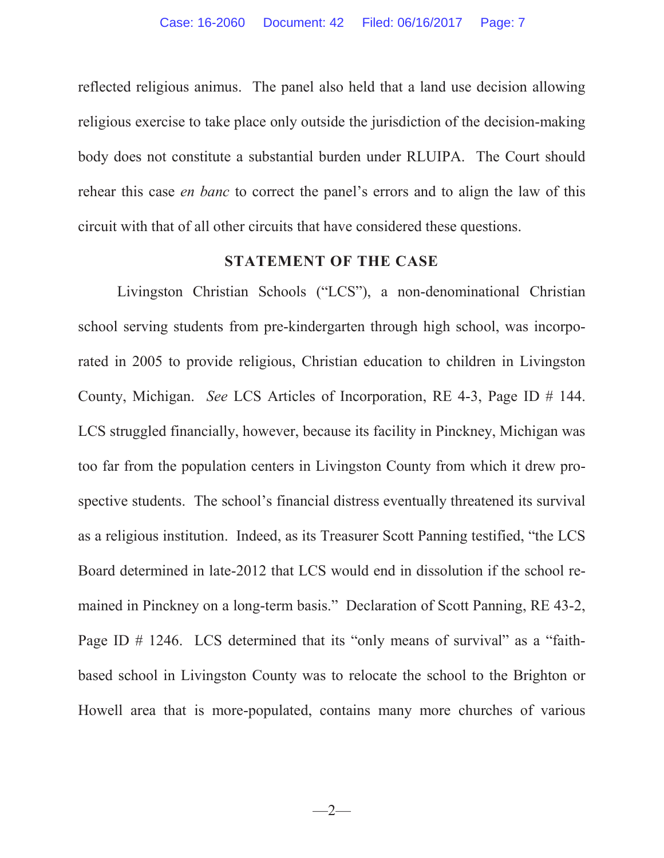reflected religious animus. The panel also held that a land use decision allowing religious exercise to take place only outside the jurisdiction of the decision-making body does not constitute a substantial burden under RLUIPA. The Court should rehear this case *en banc* to correct the panel's errors and to align the law of this circuit with that of all other circuits that have considered these questions.

## **STATEMENT OF THE CASE**

Livingston Christian Schools ("LCS"), a non-denominational Christian school serving students from pre-kindergarten through high school, was incorporated in 2005 to provide religious, Christian education to children in Livingston County, Michigan. *See* LCS Articles of Incorporation, RE 4-3, Page ID # 144. LCS struggled financially, however, because its facility in Pinckney, Michigan was too far from the population centers in Livingston County from which it drew prospective students. The school's financial distress eventually threatened its survival as a religious institution. Indeed, as its Treasurer Scott Panning testified, "the LCS Board determined in late-2012 that LCS would end in dissolution if the school remained in Pinckney on a long-term basis." Declaration of Scott Panning, RE 43-2, Page ID # 1246. LCS determined that its "only means of survival" as a "faithbased school in Livingston County was to relocate the school to the Brighton or Howell area that is more-populated, contains many more churches of various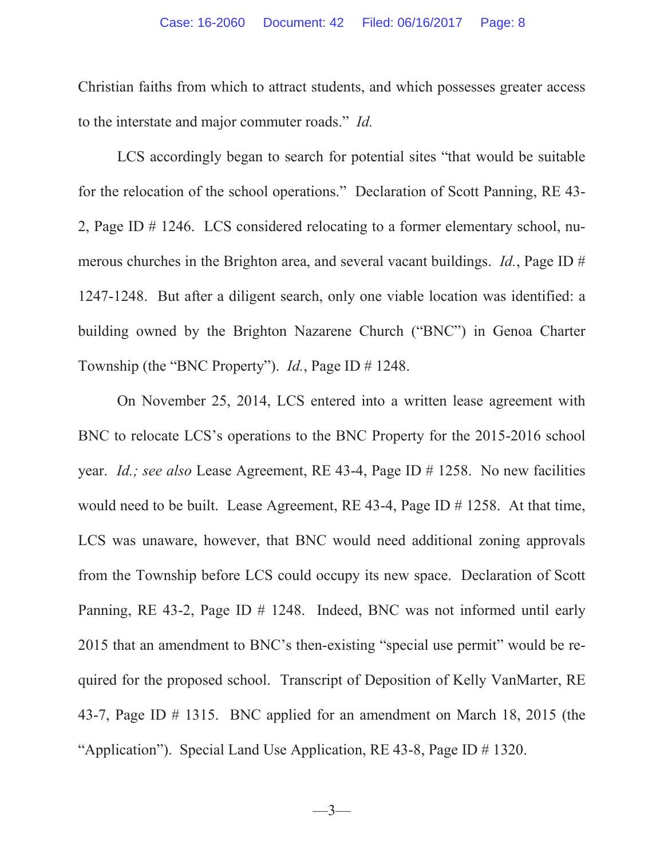Christian faiths from which to attract students, and which possesses greater access to the interstate and major commuter roads." *Id.*

LCS accordingly began to search for potential sites "that would be suitable for the relocation of the school operations." Declaration of Scott Panning, RE 43- 2, Page ID # 1246. LCS considered relocating to a former elementary school, numerous churches in the Brighton area, and several vacant buildings. *Id.*, Page ID # 1247-1248. But after a diligent search, only one viable location was identified: a building owned by the Brighton Nazarene Church ("BNC") in Genoa Charter Township (the "BNC Property"). *Id.*, Page ID # 1248.

On November 25, 2014, LCS entered into a written lease agreement with BNC to relocate LCS's operations to the BNC Property for the 2015-2016 school year. *Id.; see also* Lease Agreement, RE 43-4, Page ID # 1258. No new facilities would need to be built. Lease Agreement, RE 43-4, Page ID # 1258. At that time, LCS was unaware, however, that BNC would need additional zoning approvals from the Township before LCS could occupy its new space. Declaration of Scott Panning, RE 43-2, Page ID # 1248. Indeed, BNC was not informed until early 2015 that an amendment to BNC's then-existing "special use permit" would be required for the proposed school. Transcript of Deposition of Kelly VanMarter, RE 43-7, Page ID # 1315. BNC applied for an amendment on March 18, 2015 (the "Application"). Special Land Use Application, RE 43-8, Page ID # 1320.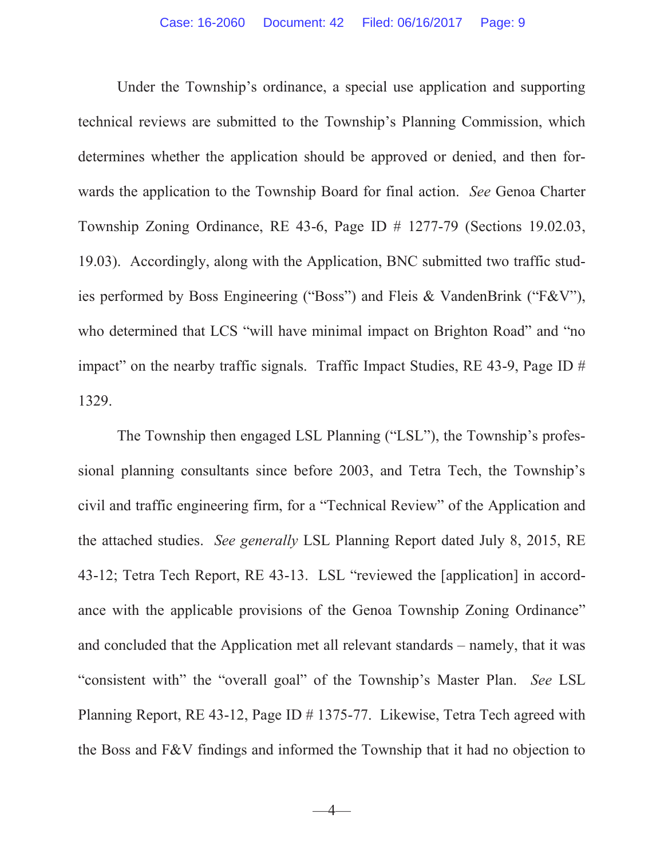Under the Township's ordinance, a special use application and supporting technical reviews are submitted to the Township's Planning Commission, which determines whether the application should be approved or denied, and then forwards the application to the Township Board for final action. *See* Genoa Charter Township Zoning Ordinance, RE 43-6, Page ID # 1277-79 (Sections 19.02.03, 19.03). Accordingly, along with the Application, BNC submitted two traffic studies performed by Boss Engineering ("Boss") and Fleis & VandenBrink ("F&V"), who determined that LCS "will have minimal impact on Brighton Road" and "no impact" on the nearby traffic signals. Traffic Impact Studies, RE 43-9, Page ID # 1329.

The Township then engaged LSL Planning ("LSL"), the Township's professional planning consultants since before 2003, and Tetra Tech, the Township's civil and traffic engineering firm, for a "Technical Review" of the Application and the attached studies. *See generally* LSL Planning Report dated July 8, 2015, RE 43-12; Tetra Tech Report, RE 43-13. LSL "reviewed the [application] in accordance with the applicable provisions of the Genoa Township Zoning Ordinance" and concluded that the Application met all relevant standards – namely, that it was "consistent with" the "overall goal" of the Township's Master Plan. *See* LSL Planning Report, RE 43-12, Page ID # 1375-77. Likewise, Tetra Tech agreed with the Boss and F&V findings and informed the Township that it had no objection to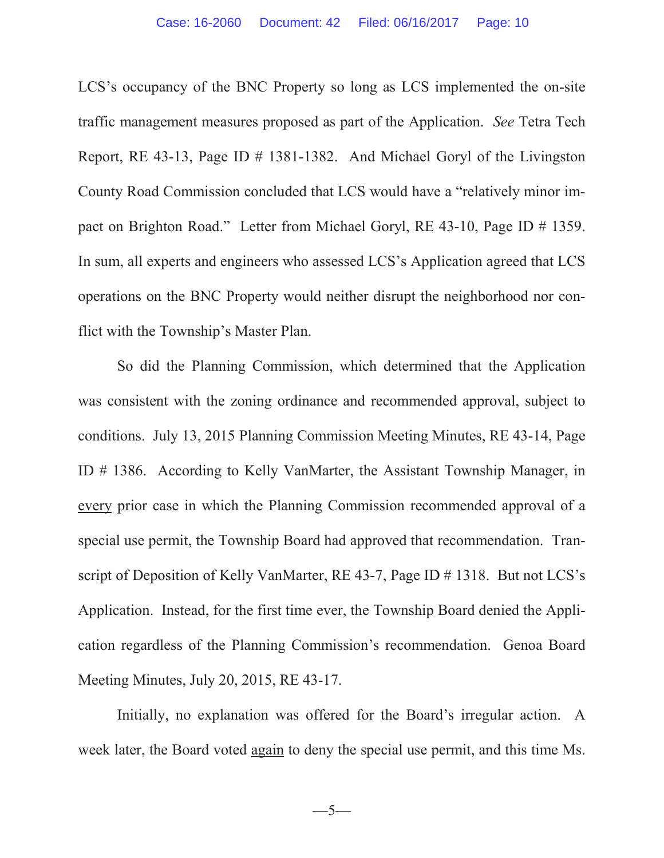LCS's occupancy of the BNC Property so long as LCS implemented the on-site traffic management measures proposed as part of the Application. *See* Tetra Tech Report, RE 43-13, Page ID # 1381-1382. And Michael Goryl of the Livingston County Road Commission concluded that LCS would have a "relatively minor impact on Brighton Road." Letter from Michael Goryl, RE 43-10, Page ID # 1359. In sum, all experts and engineers who assessed LCS's Application agreed that LCS operations on the BNC Property would neither disrupt the neighborhood nor conflict with the Township's Master Plan.

So did the Planning Commission, which determined that the Application was consistent with the zoning ordinance and recommended approval, subject to conditions. July 13, 2015 Planning Commission Meeting Minutes, RE 43-14, Page ID # 1386. According to Kelly VanMarter, the Assistant Township Manager, in every prior case in which the Planning Commission recommended approval of a special use permit, the Township Board had approved that recommendation. Transcript of Deposition of Kelly VanMarter, RE 43-7, Page ID # 1318. But not LCS's Application. Instead, for the first time ever, the Township Board denied the Application regardless of the Planning Commission's recommendation. Genoa Board Meeting Minutes, July 20, 2015, RE 43-17.

Initially, no explanation was offered for the Board's irregular action. A week later, the Board voted again to deny the special use permit, and this time Ms.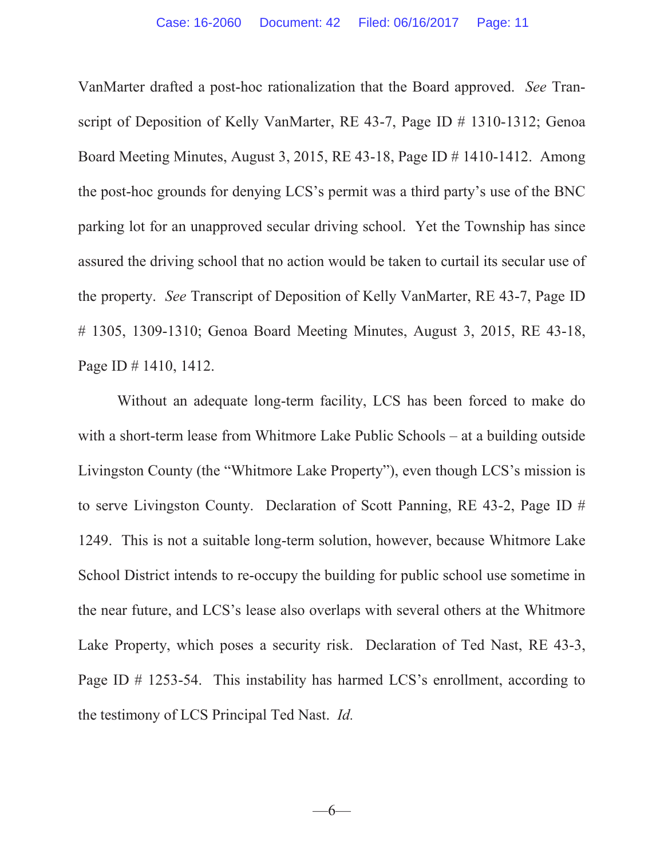VanMarter drafted a post-hoc rationalization that the Board approved. *See* Transcript of Deposition of Kelly VanMarter, RE 43-7, Page ID # 1310-1312; Genoa Board Meeting Minutes, August 3, 2015, RE 43-18, Page ID # 1410-1412. Among the post-hoc grounds for denying LCS's permit was a third party's use of the BNC parking lot for an unapproved secular driving school. Yet the Township has since assured the driving school that no action would be taken to curtail its secular use of the property. *See* Transcript of Deposition of Kelly VanMarter, RE 43-7, Page ID # 1305, 1309-1310; Genoa Board Meeting Minutes, August 3, 2015, RE 43-18, Page ID # 1410, 1412.

Without an adequate long-term facility, LCS has been forced to make do with a short-term lease from Whitmore Lake Public Schools – at a building outside Livingston County (the "Whitmore Lake Property"), even though LCS's mission is to serve Livingston County. Declaration of Scott Panning, RE 43-2, Page ID # 1249. This is not a suitable long-term solution, however, because Whitmore Lake School District intends to re-occupy the building for public school use sometime in the near future, and LCS's lease also overlaps with several others at the Whitmore Lake Property, which poses a security risk. Declaration of Ted Nast, RE 43-3, Page ID # 1253-54. This instability has harmed LCS's enrollment, according to the testimony of LCS Principal Ted Nast. *Id.*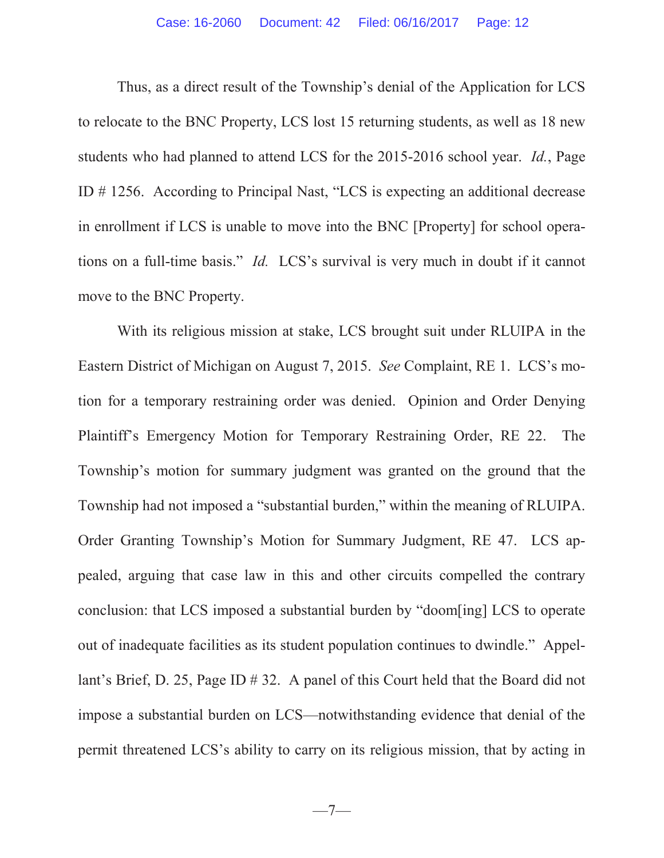Thus, as a direct result of the Township's denial of the Application for LCS to relocate to the BNC Property, LCS lost 15 returning students, as well as 18 new students who had planned to attend LCS for the 2015-2016 school year. *Id.*, Page ID # 1256. According to Principal Nast, "LCS is expecting an additional decrease in enrollment if LCS is unable to move into the BNC [Property] for school operations on a full-time basis." *Id.* LCS's survival is very much in doubt if it cannot move to the BNC Property.

With its religious mission at stake, LCS brought suit under RLUIPA in the Eastern District of Michigan on August 7, 2015. *See* Complaint, RE 1. LCS's motion for a temporary restraining order was denied. Opinion and Order Denying Plaintiff's Emergency Motion for Temporary Restraining Order, RE 22. The Township's motion for summary judgment was granted on the ground that the Township had not imposed a "substantial burden," within the meaning of RLUIPA. Order Granting Township's Motion for Summary Judgment, RE 47. LCS appealed, arguing that case law in this and other circuits compelled the contrary conclusion: that LCS imposed a substantial burden by "doom[ing] LCS to operate out of inadequate facilities as its student population continues to dwindle." Appellant's Brief, D. 25, Page ID # 32. A panel of this Court held that the Board did not impose a substantial burden on LCS—notwithstanding evidence that denial of the permit threatened LCS's ability to carry on its religious mission, that by acting in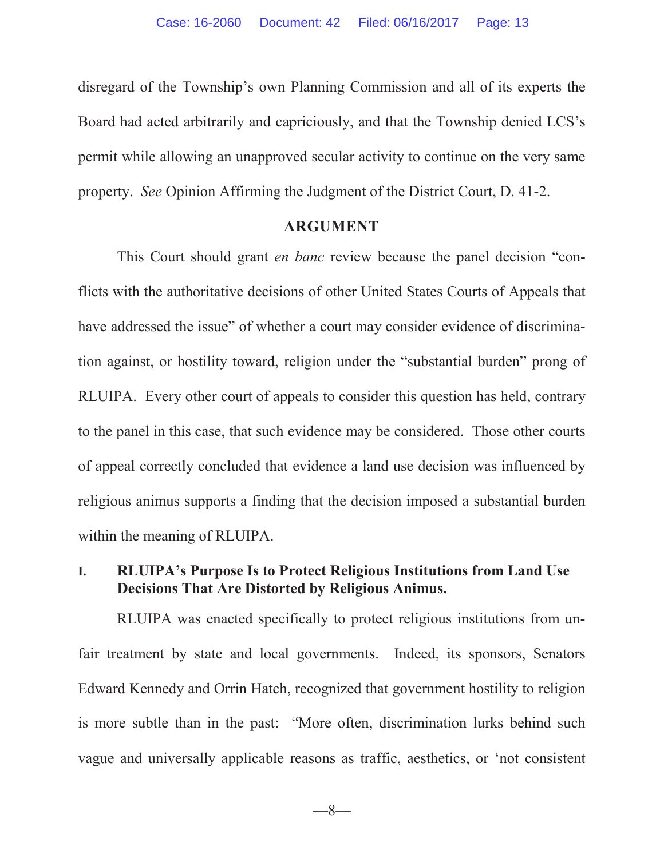disregard of the Township's own Planning Commission and all of its experts the Board had acted arbitrarily and capriciously, and that the Township denied LCS's permit while allowing an unapproved secular activity to continue on the very same property. *See* Opinion Affirming the Judgment of the District Court, D. 41-2.

## **ARGUMENT**

This Court should grant *en banc* review because the panel decision "conflicts with the authoritative decisions of other United States Courts of Appeals that have addressed the issue" of whether a court may consider evidence of discrimination against, or hostility toward, religion under the "substantial burden" prong of RLUIPA. Every other court of appeals to consider this question has held, contrary to the panel in this case, that such evidence may be considered. Those other courts of appeal correctly concluded that evidence a land use decision was influenced by religious animus supports a finding that the decision imposed a substantial burden within the meaning of RLUIPA.

# **I. RLUIPA's Purpose Is to Protect Religious Institutions from Land Use Decisions That Are Distorted by Religious Animus.**

RLUIPA was enacted specifically to protect religious institutions from unfair treatment by state and local governments. Indeed, its sponsors, Senators Edward Kennedy and Orrin Hatch, recognized that government hostility to religion is more subtle than in the past: "More often, discrimination lurks behind such vague and universally applicable reasons as traffic, aesthetics, or 'not consistent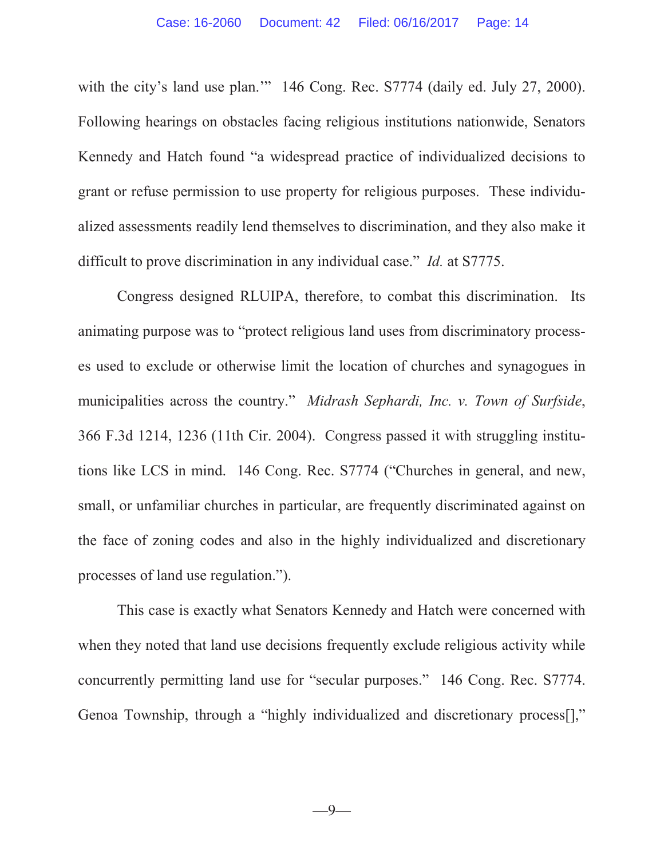with the city's land use plan." 146 Cong. Rec. S7774 (daily ed. July 27, 2000). Following hearings on obstacles facing religious institutions nationwide, Senators Kennedy and Hatch found "a widespread practice of individualized decisions to grant or refuse permission to use property for religious purposes. These individualized assessments readily lend themselves to discrimination, and they also make it difficult to prove discrimination in any individual case." *Id.* at S7775.

Congress designed RLUIPA, therefore, to combat this discrimination. Its animating purpose was to "protect religious land uses from discriminatory processes used to exclude or otherwise limit the location of churches and synagogues in municipalities across the country." *Midrash Sephardi, Inc. v. Town of Surfside*, 366 F.3d 1214, 1236 (11th Cir. 2004). Congress passed it with struggling institutions like LCS in mind. 146 Cong. Rec. S7774 ("Churches in general, and new, small, or unfamiliar churches in particular, are frequently discriminated against on the face of zoning codes and also in the highly individualized and discretionary processes of land use regulation.").

This case is exactly what Senators Kennedy and Hatch were concerned with when they noted that land use decisions frequently exclude religious activity while concurrently permitting land use for "secular purposes." 146 Cong. Rec. S7774. Genoa Township, through a "highly individualized and discretionary process[],"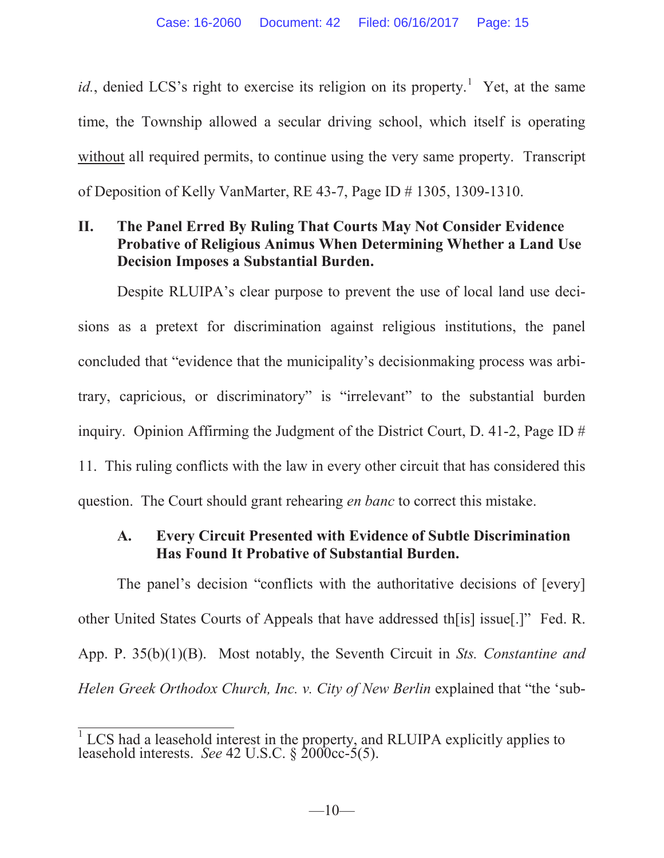*id.*, denied LCS's right to exercise its religion on its property.<sup>1</sup> Yet, at the same time, the Township allowed a secular driving school, which itself is operating without all required permits, to continue using the very same property. Transcript of Deposition of Kelly VanMarter, RE 43-7, Page ID # 1305, 1309-1310.

# **II. The Panel Erred By Ruling That Courts May Not Consider Evidence Probative of Religious Animus When Determining Whether a Land Use Decision Imposes a Substantial Burden.**

Despite RLUIPA's clear purpose to prevent the use of local land use decisions as a pretext for discrimination against religious institutions, the panel concluded that "evidence that the municipality's decisionmaking process was arbitrary, capricious, or discriminatory" is "irrelevant" to the substantial burden inquiry. Opinion Affirming the Judgment of the District Court, D. 41-2, Page ID # 11. This ruling conflicts with the law in every other circuit that has considered this question. The Court should grant rehearing *en banc* to correct this mistake.

# **A. Every Circuit Presented with Evidence of Subtle Discrimination Has Found It Probative of Substantial Burden.**

The panel's decision "conflicts with the authoritative decisions of [every] other United States Courts of Appeals that have addressed th[is] issue[.]" Fed. R. App. P. 35(b)(1)(B). Most notably, the Seventh Circuit in *Sts. Constantine and Helen Greek Orthodox Church, Inc. v. City of New Berlin* explained that "the 'sub-

 $1$  LCS had a leasehold interest in the property, and RLUIPA explicitly applies to leasehold interests. *See* 42 U.S.C. § 2000cc-5(5).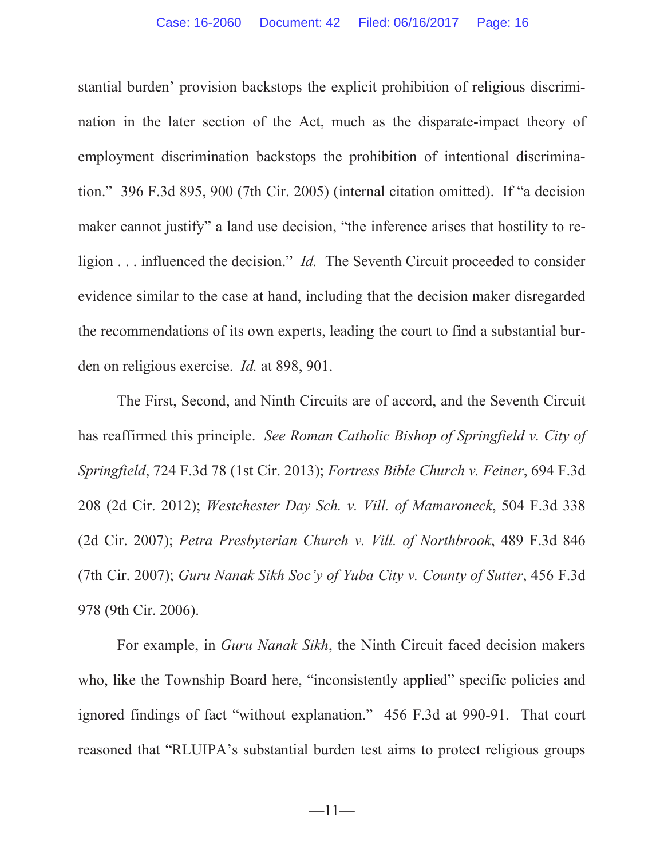stantial burden' provision backstops the explicit prohibition of religious discrimination in the later section of the Act, much as the disparate-impact theory of employment discrimination backstops the prohibition of intentional discrimination." 396 F.3d 895, 900 (7th Cir. 2005) (internal citation omitted). If "a decision maker cannot justify" a land use decision, "the inference arises that hostility to religion . . . influenced the decision." *Id.* The Seventh Circuit proceeded to consider evidence similar to the case at hand, including that the decision maker disregarded the recommendations of its own experts, leading the court to find a substantial burden on religious exercise. *Id.* at 898, 901.

The First, Second, and Ninth Circuits are of accord, and the Seventh Circuit has reaffirmed this principle. *See Roman Catholic Bishop of Springfield v. City of Springfield*, 724 F.3d 78 (1st Cir. 2013); *Fortress Bible Church v. Feiner*, 694 F.3d 208 (2d Cir. 2012); *Westchester Day Sch. v. Vill. of Mamaroneck*, 504 F.3d 338 (2d Cir. 2007); *Petra Presbyterian Church v. Vill. of Northbrook*, 489 F.3d 846 (7th Cir. 2007); *Guru Nanak Sikh Soc'y of Yuba City v. County of Sutter*, 456 F.3d 978 (9th Cir. 2006).

For example, in *Guru Nanak Sikh*, the Ninth Circuit faced decision makers who, like the Township Board here, "inconsistently applied" specific policies and ignored findings of fact "without explanation." 456 F.3d at 990-91. That court reasoned that "RLUIPA's substantial burden test aims to protect religious groups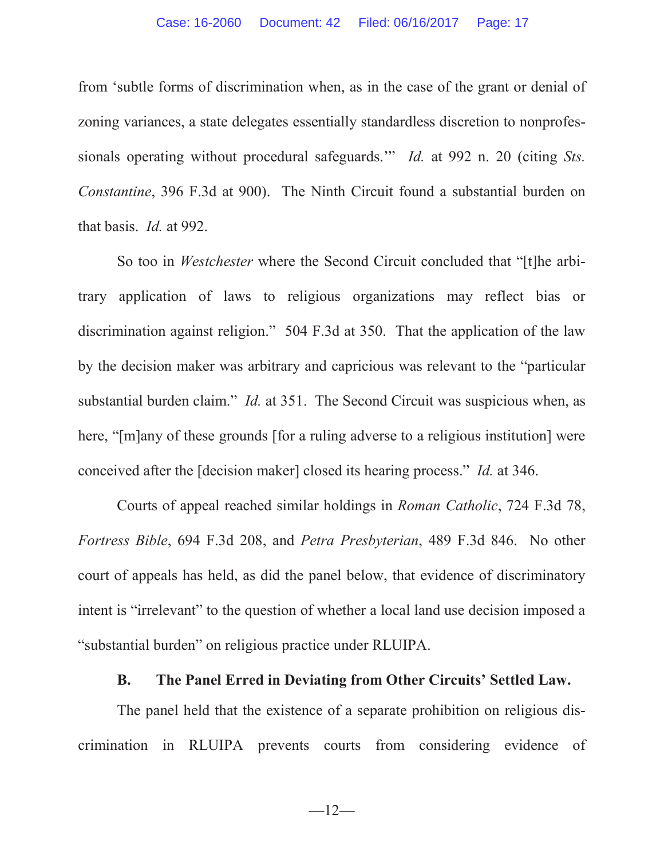from 'subtle forms of discrimination when, as in the case of the grant or denial of zoning variances, a state delegates essentially standardless discretion to nonprofessionals operating without procedural safeguards.'" *Id.* at 992 n. 20 (citing *Sts. Constantine*, 396 F.3d at 900). The Ninth Circuit found a substantial burden on that basis. *Id.* at 992.

So too in *Westchester* where the Second Circuit concluded that "[t]he arbitrary application of laws to religious organizations may reflect bias or discrimination against religion." 504 F.3d at 350. That the application of the law by the decision maker was arbitrary and capricious was relevant to the "particular substantial burden claim." *Id.* at 351. The Second Circuit was suspicious when, as here, "[m]any of these grounds [for a ruling adverse to a religious institution] were conceived after the [decision maker] closed its hearing process." *Id.* at 346.

Courts of appeal reached similar holdings in *Roman Catholic*, 724 F.3d 78, *Fortress Bible*, 694 F.3d 208, and *Petra Presbyterian*, 489 F.3d 846. No other court of appeals has held, as did the panel below, that evidence of discriminatory intent is "irrelevant" to the question of whether a local land use decision imposed a "substantial burden" on religious practice under RLUIPA.

# **B. The Panel Erred in Deviating from Other Circuits' Settled Law.**

The panel held that the existence of a separate prohibition on religious discrimination in RLUIPA prevents courts from considering evidence of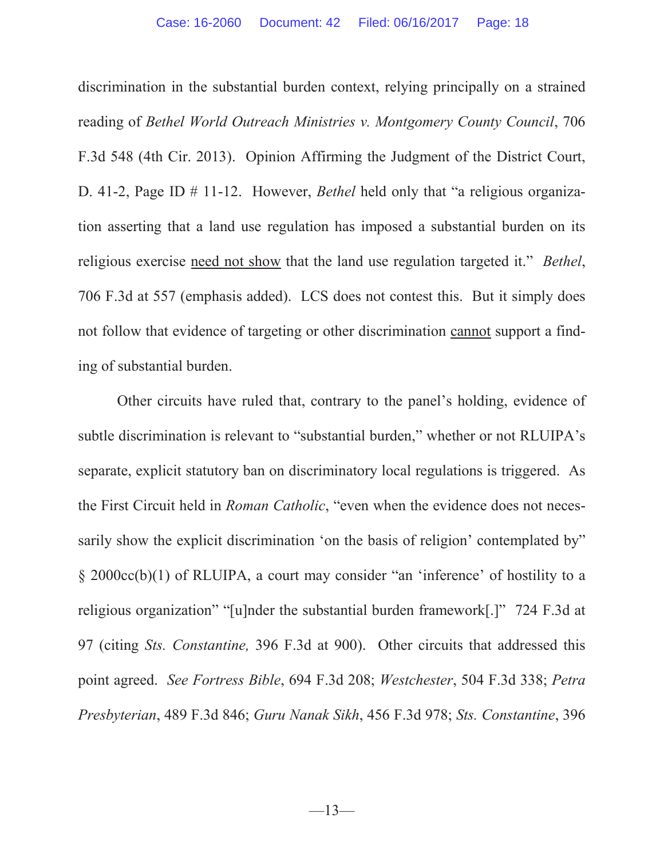discrimination in the substantial burden context, relying principally on a strained reading of *Bethel World Outreach Ministries v. Montgomery County Council*, 706 F.3d 548 (4th Cir. 2013). Opinion Affirming the Judgment of the District Court, D. 41-2, Page ID # 11-12. However, *Bethel* held only that "a religious organization asserting that a land use regulation has imposed a substantial burden on its religious exercise need not show that the land use regulation targeted it." *Bethel*, 706 F.3d at 557 (emphasis added). LCS does not contest this. But it simply does not follow that evidence of targeting or other discrimination cannot support a finding of substantial burden.

Other circuits have ruled that, contrary to the panel's holding, evidence of subtle discrimination is relevant to "substantial burden," whether or not RLUIPA's separate, explicit statutory ban on discriminatory local regulations is triggered. As the First Circuit held in *Roman Catholic*, "even when the evidence does not necessarily show the explicit discrimination 'on the basis of religion' contemplated by" § 2000cc(b)(1) of RLUIPA, a court may consider "an 'inference' of hostility to a religious organization" "[u]nder the substantial burden framework[.]" 724 F.3d at 97 (citing *Sts. Constantine,* 396 F.3d at 900). Other circuits that addressed this point agreed. *See Fortress Bible*, 694 F.3d 208; *Westchester*, 504 F.3d 338; *Petra Presbyterian*, 489 F.3d 846; *Guru Nanak Sikh*, 456 F.3d 978; *Sts. Constantine*, 396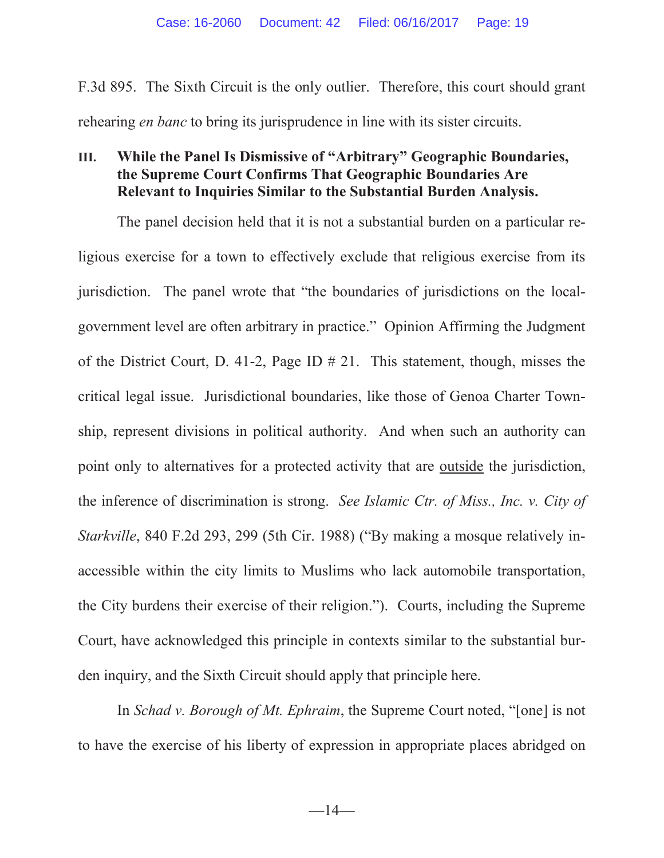F.3d 895. The Sixth Circuit is the only outlier. Therefore, this court should grant rehearing *en banc* to bring its jurisprudence in line with its sister circuits.

# **III. While the Panel Is Dismissive of "Arbitrary" Geographic Boundaries, the Supreme Court Confirms That Geographic Boundaries Are Relevant to Inquiries Similar to the Substantial Burden Analysis.**

The panel decision held that it is not a substantial burden on a particular religious exercise for a town to effectively exclude that religious exercise from its jurisdiction. The panel wrote that "the boundaries of jurisdictions on the localgovernment level are often arbitrary in practice." Opinion Affirming the Judgment of the District Court, D. 41-2, Page ID # 21. This statement, though, misses the critical legal issue. Jurisdictional boundaries, like those of Genoa Charter Township, represent divisions in political authority. And when such an authority can point only to alternatives for a protected activity that are outside the jurisdiction, the inference of discrimination is strong. *See Islamic Ctr. of Miss., Inc. v. City of Starkville*, 840 F.2d 293, 299 (5th Cir. 1988) ("By making a mosque relatively inaccessible within the city limits to Muslims who lack automobile transportation, the City burdens their exercise of their religion."). Courts, including the Supreme Court, have acknowledged this principle in contexts similar to the substantial burden inquiry, and the Sixth Circuit should apply that principle here.

In *Schad v. Borough of Mt. Ephraim*, the Supreme Court noted, "[one] is not to have the exercise of his liberty of expression in appropriate places abridged on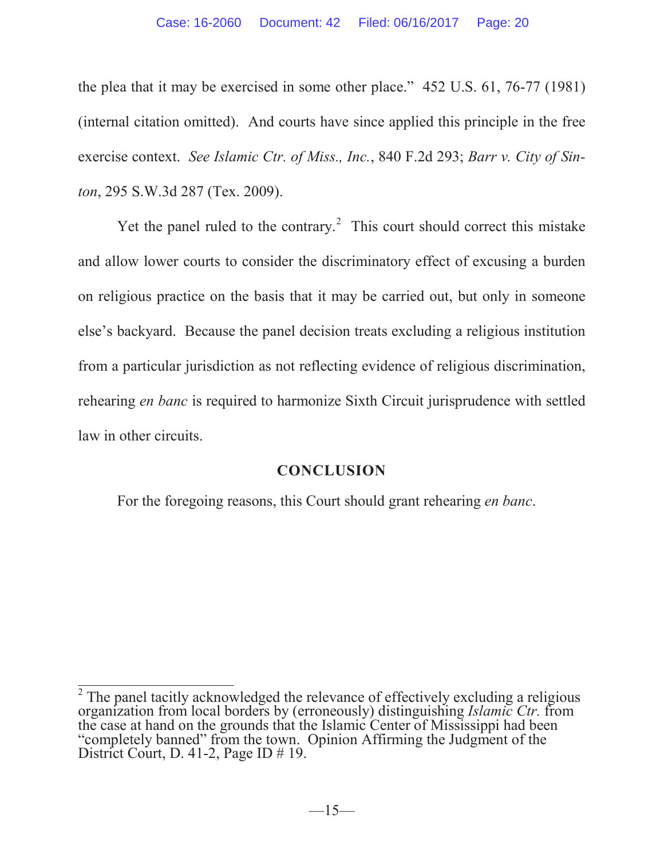the plea that it may be exercised in some other place." 452 U.S. 61, 76-77 (1981) (internal citation omitted). And courts have since applied this principle in the free exercise context. *See Islamic Ctr. of Miss., Inc.*, 840 F.2d 293; *Barr v. City of Sinton*, 295 S.W.3d 287 (Tex. 2009).

Yet the panel ruled to the contrary.<sup>2</sup> This court should correct this mistake and allow lower courts to consider the discriminatory effect of excusing a burden on religious practice on the basis that it may be carried out, but only in someone else's backyard. Because the panel decision treats excluding a religious institution from a particular jurisdiction as not reflecting evidence of religious discrimination, rehearing *en banc* is required to harmonize Sixth Circuit jurisprudence with settled law in other circuits.

# **CONCLUSION**

For the foregoing reasons, this Court should grant rehearing *en banc*.

<sup>2</sup> The panel tacitly acknowledged the relevance of effectively excluding a religious organization from local borders by (erroneously) distinguishing *Islamic Ctr.* from the case at hand on the grounds that the Islamic Center of Mississippi had been "completely banned" from the town. Opinion Affirming the Judgment of the District Court, D. 41-2, Page ID  $\#$  19.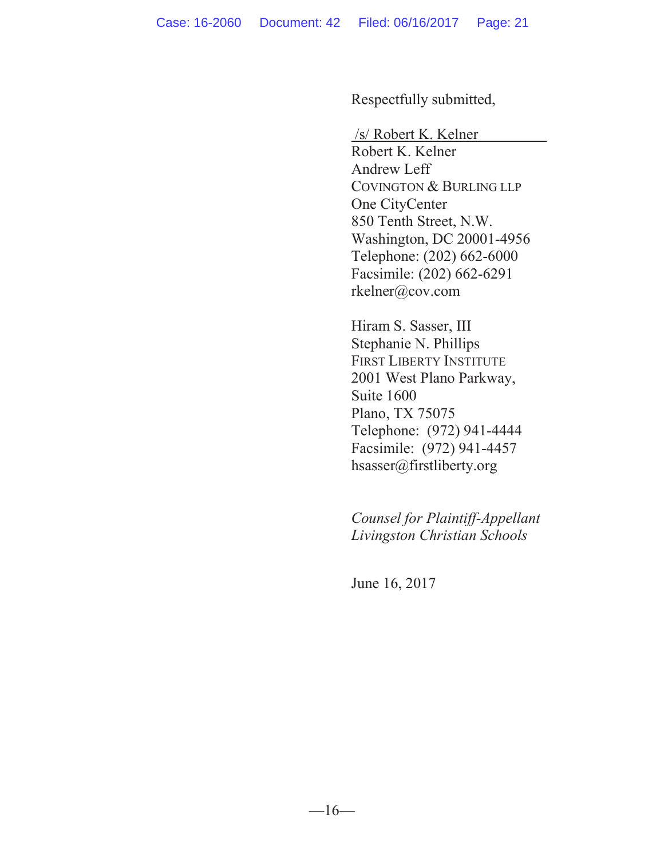Respectfully submitted,

/s/ Robert K. Kelner

Robert K. Kelner Andrew Leff COVINGTON & BURLING LLP One CityCenter 850 Tenth Street, N.W. Washington, DC 20001-4956 Telephone: (202) 662-6000 Facsimile: (202) 662-6291 rkelner@cov.com

Hiram S. Sasser, III Stephanie N. Phillips FIRST LIBERTY INSTITUTE 2001 West Plano Parkway, Suite 1600 Plano, TX 75075 Telephone: (972) 941-4444 Facsimile: (972) 941-4457 hsasser@firstliberty.org

*Counsel for Plaintiff-Appellant Livingston Christian Schools*

June 16, 2017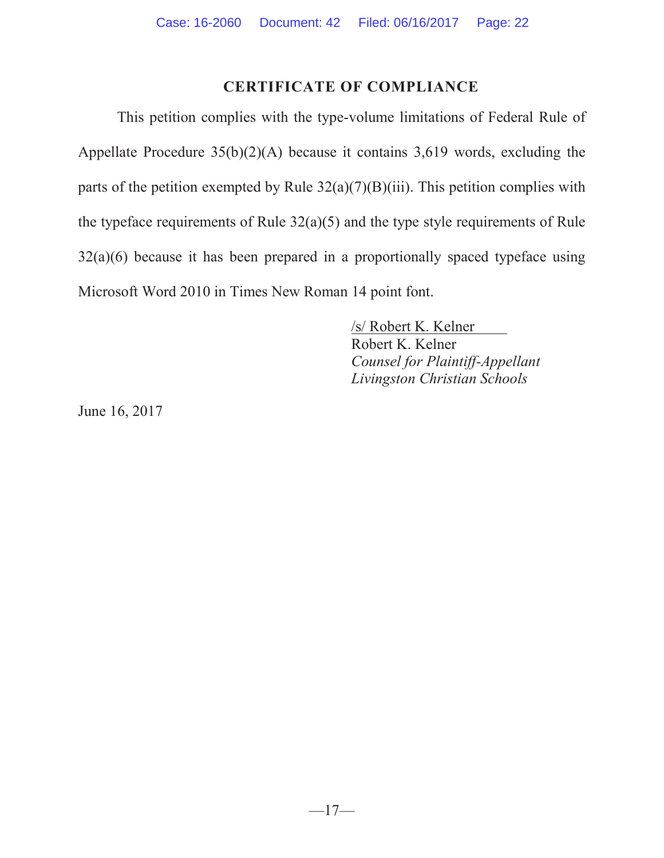# **CERTIFICATE OF COMPLIANCE**

This petition complies with the type-volume limitations of Federal Rule of Appellate Procedure  $35(b)(2)(A)$  because it contains 3,619 words, excluding the parts of the petition exempted by Rule  $32(a)(7)(B)(iii)$ . This petition complies with the typeface requirements of Rule  $32(a)(5)$  and the type style requirements of Rule 32(a)(6) because it has been prepared in a proportionally spaced typeface using Microsoft Word 2010 in Times New Roman 14 point font.

> /s/ Robert K. Kelner Robert K. Kelner *Counsel for Plaintiff-Appellant Livingston Christian Schools*

June 16, 2017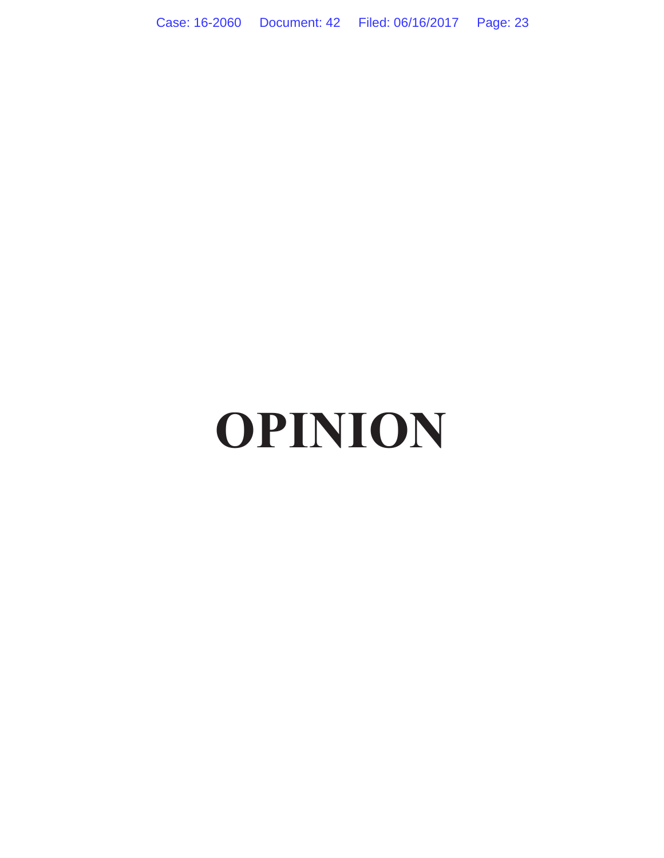Case: 16-2060 Document: 42 Filed: 06/16/2017 Page: 23

# **OPINION**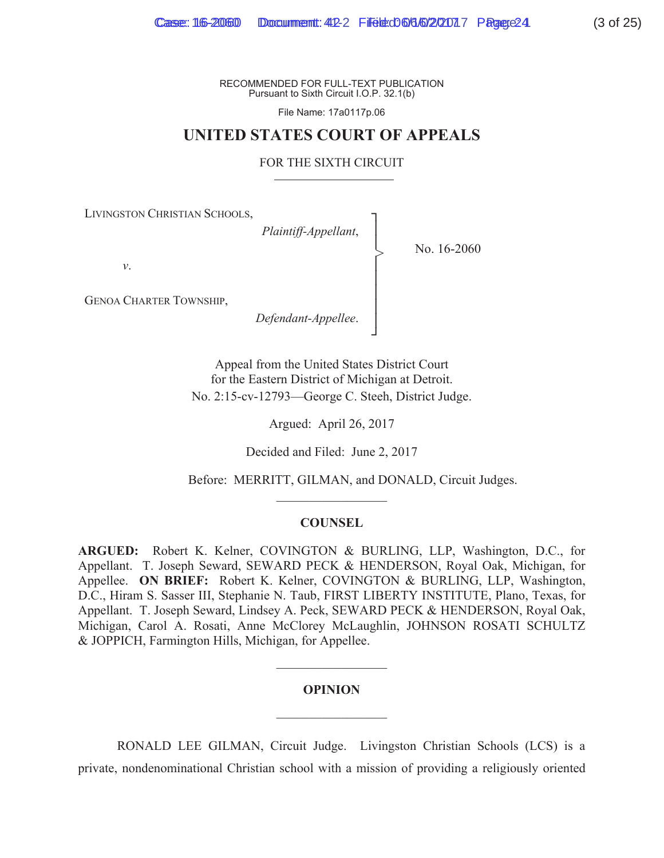File Name: 17a0117p.06

## **UNITED STATES COURT OF APPEALS**

#### FOR THE SIXTH CIRCUIT

'n  $\mathbf{I}$  $\mathbf{I}$ Ň  $\mathbf{I}$  $\mathbf{I}$  $\mathbf{I}$ Ň ŋ

>

LIVINGSTON CHRISTIAN SCHOOLS,

*Plaintiff-Appellant*,

No. 16-2060

*v*.

GENOA CHARTER TOWNSHIP,

*Defendant-Appellee*.

Appeal from the United States District Court for the Eastern District of Michigan at Detroit. No. 2:15-cv-12793—George C. Steeh, District Judge.

Argued: April 26, 2017

Decided and Filed: June 2, 2017

Before: MERRITT, GILMAN, and DONALD, Circuit Judges.

#### **COUNSEL**

 $\mathcal{L}_\text{max}$ 

**ARGUED:** Robert K. Kelner, COVINGTON & BURLING, LLP, Washington, D.C., for Appellant. T. Joseph Seward, SEWARD PECK & HENDERSON, Royal Oak, Michigan, for Appellee. **ON BRIEF:** Robert K. Kelner, COVINGTON & BURLING, LLP, Washington, D.C., Hiram S. Sasser III, Stephanie N. Taub, FIRST LIBERTY INSTITUTE, Plano, Texas, for Appellant. T. Joseph Seward, Lindsey A. Peck, SEWARD PECK & HENDERSON, Royal Oak, Michigan, Carol A. Rosati, Anne McClorey McLaughlin, JOHNSON ROSATI SCHULTZ & JOPPICH, Farmington Hills, Michigan, for Appellee.

#### **OPINION**

 $\frac{1}{2}$ 

 $\frac{1}{2}$ 

RONALD LEE GILMAN, Circuit Judge. Livingston Christian Schools (LCS) is a private, nondenominational Christian school with a mission of providing a religiously oriented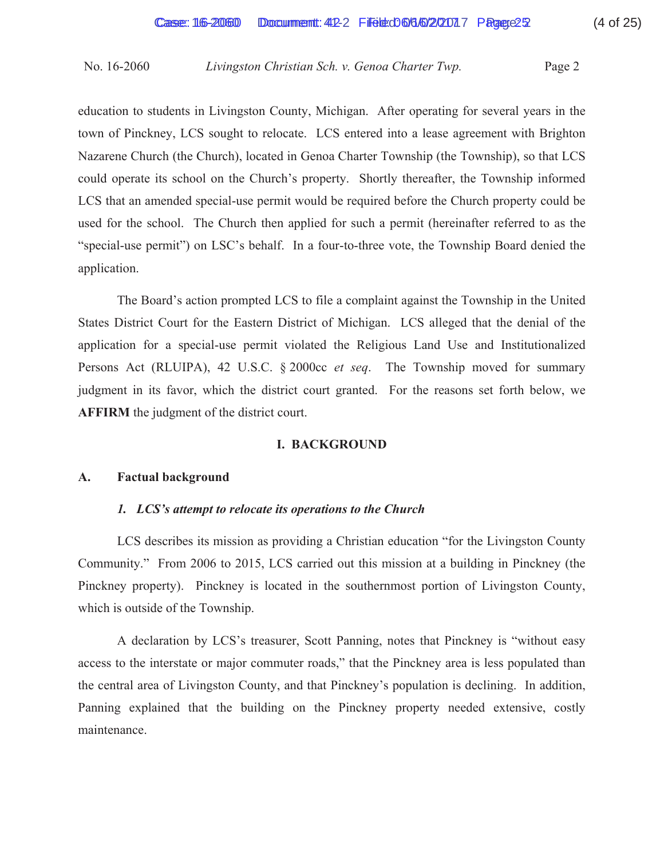education to students in Livingston County, Michigan. After operating for several years in the town of Pinckney, LCS sought to relocate. LCS entered into a lease agreement with Brighton Nazarene Church (the Church), located in Genoa Charter Township (the Township), so that LCS could operate its school on the Church's property. Shortly thereafter, the Township informed LCS that an amended special-use permit would be required before the Church property could be used for the school. The Church then applied for such a permit (hereinafter referred to as the "special-use permit") on LSC's behalf. In a four-to-three vote, the Township Board denied the application.

 The Board's action prompted LCS to file a complaint against the Township in the United States District Court for the Eastern District of Michigan. LCS alleged that the denial of the application for a special-use permit violated the Religious Land Use and Institutionalized Persons Act (RLUIPA), 42 U.S.C. § 2000cc *et seq*. The Township moved for summary judgment in its favor, which the district court granted. For the reasons set forth below, we **AFFIRM** the judgment of the district court.

## **I. BACKGROUND**

## **A. Factual background**

## *1. LCS's attempt to relocate its operations to the Church*

 LCS describes its mission as providing a Christian education "for the Livingston County Community." From 2006 to 2015, LCS carried out this mission at a building in Pinckney (the Pinckney property). Pinckney is located in the southernmost portion of Livingston County, which is outside of the Township.

 A declaration by LCS's treasurer, Scott Panning, notes that Pinckney is "without easy access to the interstate or major commuter roads," that the Pinckney area is less populated than the central area of Livingston County, and that Pinckney's population is declining. In addition, Panning explained that the building on the Pinckney property needed extensive, costly maintenance.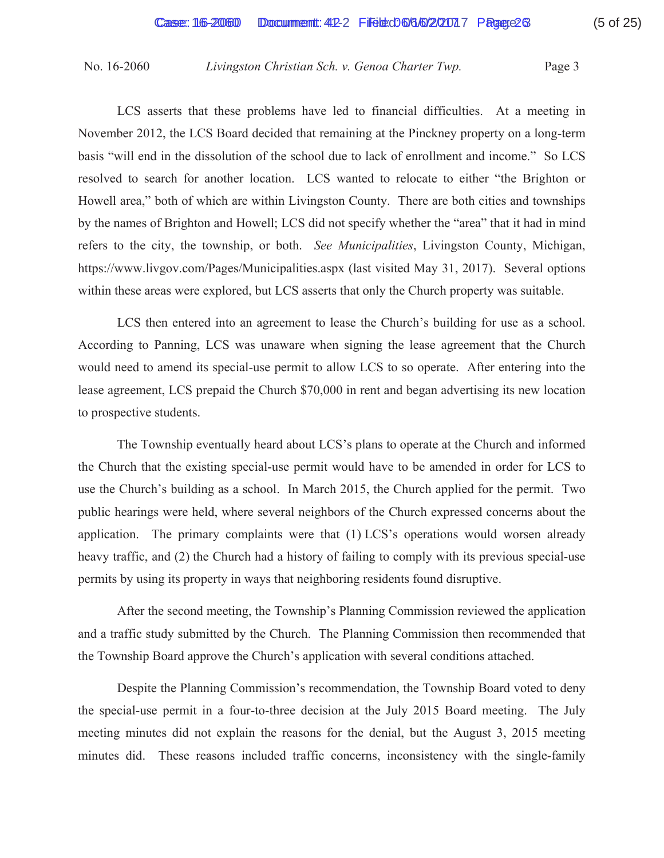LCS asserts that these problems have led to financial difficulties. At a meeting in November 2012, the LCS Board decided that remaining at the Pinckney property on a long-term basis "will end in the dissolution of the school due to lack of enrollment and income." So LCS resolved to search for another location. LCS wanted to relocate to either "the Brighton or Howell area," both of which are within Livingston County. There are both cities and townships by the names of Brighton and Howell; LCS did not specify whether the "area" that it had in mind refers to the city, the township, or both. *See Municipalities*, Livingston County, Michigan, https://www.livgov.com/Pages/Municipalities.aspx (last visited May 31, 2017). Several options within these areas were explored, but LCS asserts that only the Church property was suitable.

 LCS then entered into an agreement to lease the Church's building for use as a school. According to Panning, LCS was unaware when signing the lease agreement that the Church would need to amend its special-use permit to allow LCS to so operate. After entering into the lease agreement, LCS prepaid the Church \$70,000 in rent and began advertising its new location to prospective students.

 The Township eventually heard about LCS's plans to operate at the Church and informed the Church that the existing special-use permit would have to be amended in order for LCS to use the Church's building as a school. In March 2015, the Church applied for the permit. Two public hearings were held, where several neighbors of the Church expressed concerns about the application. The primary complaints were that (1) LCS's operations would worsen already heavy traffic, and (2) the Church had a history of failing to comply with its previous special-use permits by using its property in ways that neighboring residents found disruptive.

 After the second meeting, the Township's Planning Commission reviewed the application and a traffic study submitted by the Church. The Planning Commission then recommended that the Township Board approve the Church's application with several conditions attached.

 Despite the Planning Commission's recommendation, the Township Board voted to deny the special-use permit in a four-to-three decision at the July 2015 Board meeting. The July meeting minutes did not explain the reasons for the denial, but the August 3, 2015 meeting minutes did. These reasons included traffic concerns, inconsistency with the single-family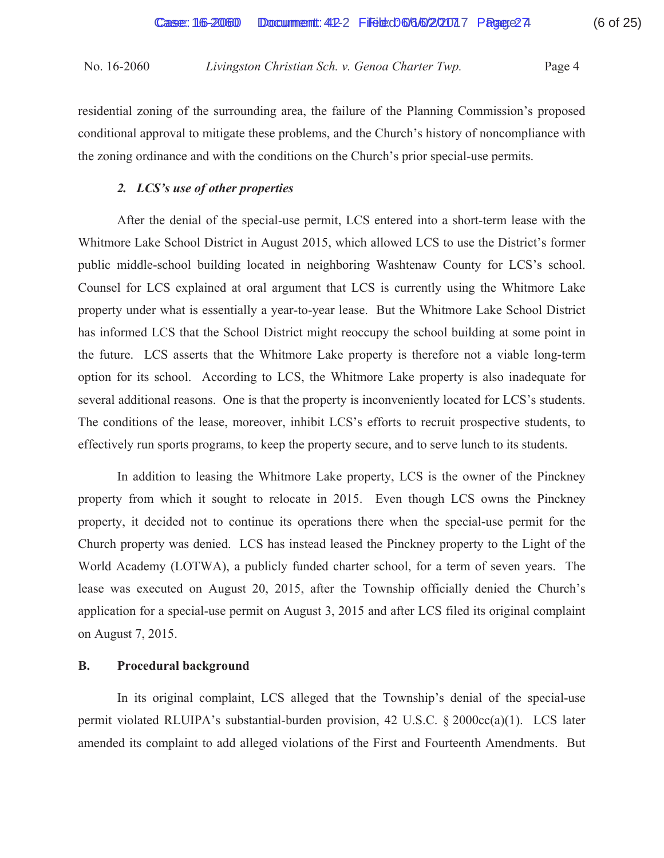residential zoning of the surrounding area, the failure of the Planning Commission's proposed conditional approval to mitigate these problems, and the Church's history of noncompliance with the zoning ordinance and with the conditions on the Church's prior special-use permits.

# *2. LCS's use of other properties*

 After the denial of the special-use permit, LCS entered into a short-term lease with the Whitmore Lake School District in August 2015, which allowed LCS to use the District's former public middle-school building located in neighboring Washtenaw County for LCS's school. Counsel for LCS explained at oral argument that LCS is currently using the Whitmore Lake property under what is essentially a year-to-year lease. But the Whitmore Lake School District has informed LCS that the School District might reoccupy the school building at some point in the future. LCS asserts that the Whitmore Lake property is therefore not a viable long-term option for its school. According to LCS, the Whitmore Lake property is also inadequate for several additional reasons. One is that the property is inconveniently located for LCS's students. The conditions of the lease, moreover, inhibit LCS's efforts to recruit prospective students, to effectively run sports programs, to keep the property secure, and to serve lunch to its students.

 In addition to leasing the Whitmore Lake property, LCS is the owner of the Pinckney property from which it sought to relocate in 2015. Even though LCS owns the Pinckney property, it decided not to continue its operations there when the special-use permit for the Church property was denied. LCS has instead leased the Pinckney property to the Light of the World Academy (LOTWA), a publicly funded charter school, for a term of seven years. The lease was executed on August 20, 2015, after the Township officially denied the Church's application for a special-use permit on August 3, 2015 and after LCS filed its original complaint on August 7, 2015.

# **B. Procedural background**

 In its original complaint, LCS alleged that the Township's denial of the special-use permit violated RLUIPA's substantial-burden provision, 42 U.S.C. § 2000cc(a)(1). LCS later amended its complaint to add alleged violations of the First and Fourteenth Amendments. But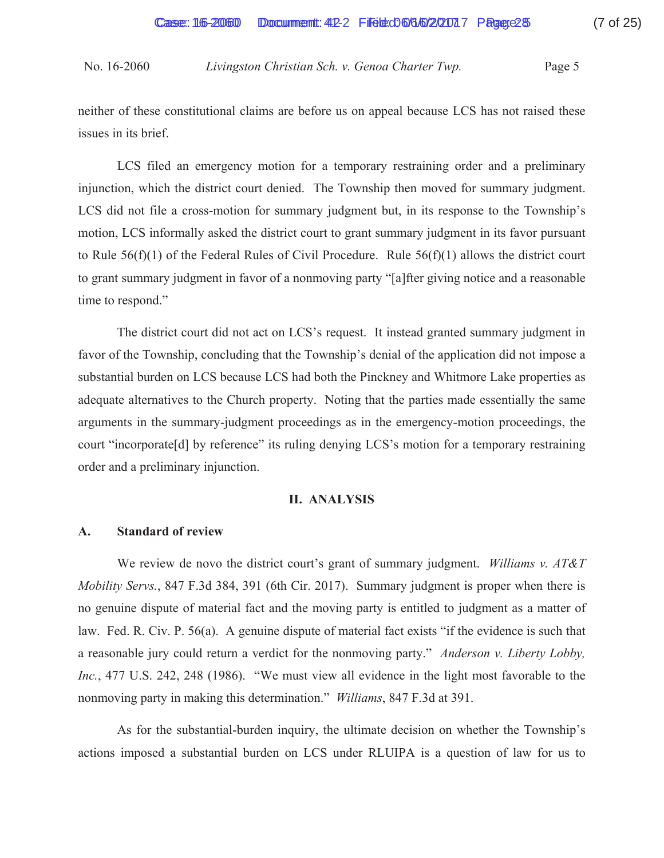neither of these constitutional claims are before us on appeal because LCS has not raised these issues in its brief.

 LCS filed an emergency motion for a temporary restraining order and a preliminary injunction, which the district court denied. The Township then moved for summary judgment. LCS did not file a cross-motion for summary judgment but, in its response to the Township's motion, LCS informally asked the district court to grant summary judgment in its favor pursuant to Rule  $56(f)(1)$  of the Federal Rules of Civil Procedure. Rule  $56(f)(1)$  allows the district court to grant summary judgment in favor of a nonmoving party "[a]fter giving notice and a reasonable time to respond."

 The district court did not act on LCS's request. It instead granted summary judgment in favor of the Township, concluding that the Township's denial of the application did not impose a substantial burden on LCS because LCS had both the Pinckney and Whitmore Lake properties as adequate alternatives to the Church property. Noting that the parties made essentially the same arguments in the summary-judgment proceedings as in the emergency-motion proceedings, the court "incorporate[d] by reference" its ruling denying LCS's motion for a temporary restraining order and a preliminary injunction.

#### **II. ANALYSIS**

## **A. Standard of review**

We review de novo the district court's grant of summary judgment. *Williams v. AT&T Mobility Servs.*, 847 F.3d 384, 391 (6th Cir. 2017). Summary judgment is proper when there is no genuine dispute of material fact and the moving party is entitled to judgment as a matter of law. Fed. R. Civ. P. 56(a). A genuine dispute of material fact exists "if the evidence is such that a reasonable jury could return a verdict for the nonmoving party." *Anderson v. Liberty Lobby, Inc.*, 477 U.S. 242, 248 (1986). "We must view all evidence in the light most favorable to the nonmoving party in making this determination." *Williams*, 847 F.3d at 391.

 As for the substantial-burden inquiry, the ultimate decision on whether the Township's actions imposed a substantial burden on LCS under RLUIPA is a question of law for us to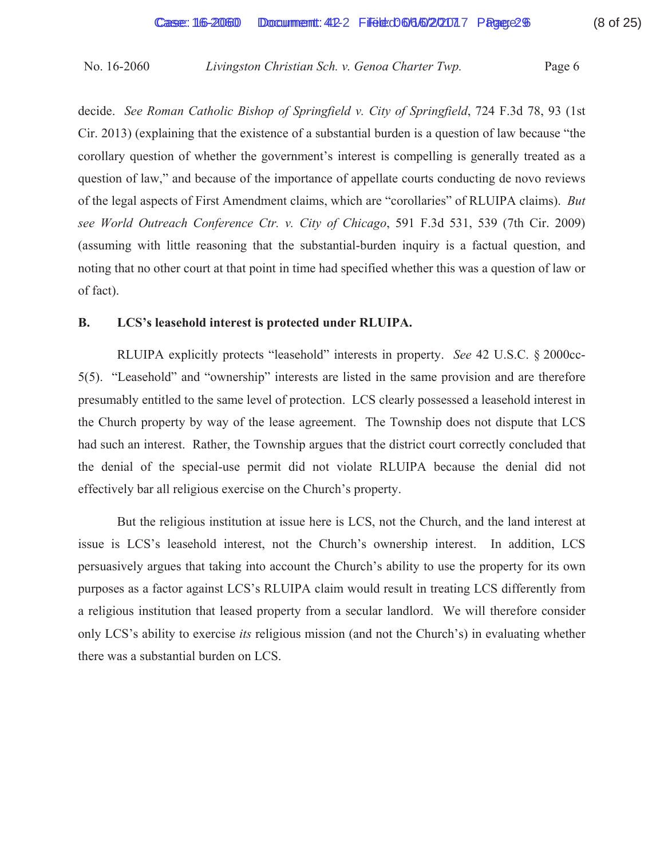decide. *See Roman Catholic Bishop of Springfield v. City of Springfield*, 724 F.3d 78, 93 (1st Cir. 2013) (explaining that the existence of a substantial burden is a question of law because "the corollary question of whether the government's interest is compelling is generally treated as a question of law," and because of the importance of appellate courts conducting de novo reviews of the legal aspects of First Amendment claims, which are "corollaries" of RLUIPA claims). *But see World Outreach Conference Ctr. v. City of Chicago*, 591 F.3d 531, 539 (7th Cir. 2009) (assuming with little reasoning that the substantial-burden inquiry is a factual question, and noting that no other court at that point in time had specified whether this was a question of law or of fact).

## **B. LCS's leasehold interest is protected under RLUIPA.**

RLUIPA explicitly protects "leasehold" interests in property. *See* 42 U.S.C. § 2000cc-5(5). "Leasehold" and "ownership" interests are listed in the same provision and are therefore presumably entitled to the same level of protection. LCS clearly possessed a leasehold interest in the Church property by way of the lease agreement. The Township does not dispute that LCS had such an interest. Rather, the Township argues that the district court correctly concluded that the denial of the special-use permit did not violate RLUIPA because the denial did not effectively bar all religious exercise on the Church's property.

But the religious institution at issue here is LCS, not the Church, and the land interest at issue is LCS's leasehold interest, not the Church's ownership interest. In addition, LCS persuasively argues that taking into account the Church's ability to use the property for its own purposes as a factor against LCS's RLUIPA claim would result in treating LCS differently from a religious institution that leased property from a secular landlord. We will therefore consider only LCS's ability to exercise *its* religious mission (and not the Church's) in evaluating whether there was a substantial burden on LCS.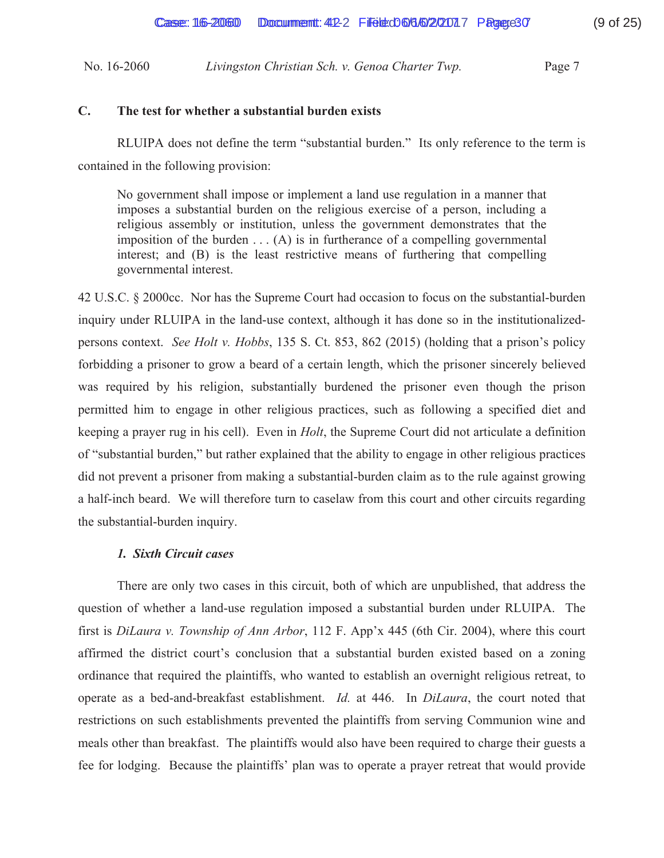## **C. The test for whether a substantial burden exists**

 RLUIPA does not define the term "substantial burden." Its only reference to the term is contained in the following provision:

No government shall impose or implement a land use regulation in a manner that imposes a substantial burden on the religious exercise of a person, including a religious assembly or institution, unless the government demonstrates that the imposition of the burden  $\dots$  (A) is in furtherance of a compelling governmental interest; and (B) is the least restrictive means of furthering that compelling governmental interest.

42 U.S.C. § 2000cc. Nor has the Supreme Court had occasion to focus on the substantial-burden inquiry under RLUIPA in the land-use context, although it has done so in the institutionalizedpersons context. *See Holt v. Hobbs*, 135 S. Ct. 853, 862 (2015) (holding that a prison's policy forbidding a prisoner to grow a beard of a certain length, which the prisoner sincerely believed was required by his religion, substantially burdened the prisoner even though the prison permitted him to engage in other religious practices, such as following a specified diet and keeping a prayer rug in his cell). Even in *Holt*, the Supreme Court did not articulate a definition of "substantial burden," but rather explained that the ability to engage in other religious practices did not prevent a prisoner from making a substantial-burden claim as to the rule against growing a half-inch beard. We will therefore turn to caselaw from this court and other circuits regarding the substantial-burden inquiry.

## *1. Sixth Circuit cases*

 There are only two cases in this circuit, both of which are unpublished, that address the question of whether a land-use regulation imposed a substantial burden under RLUIPA. The first is *DiLaura v. Township of Ann Arbor*, 112 F. App'x 445 (6th Cir. 2004), where this court affirmed the district court's conclusion that a substantial burden existed based on a zoning ordinance that required the plaintiffs, who wanted to establish an overnight religious retreat, to operate as a bed-and-breakfast establishment. *Id.* at 446. In *DiLaura*, the court noted that restrictions on such establishments prevented the plaintiffs from serving Communion wine and meals other than breakfast. The plaintiffs would also have been required to charge their guests a fee for lodging. Because the plaintiffs' plan was to operate a prayer retreat that would provide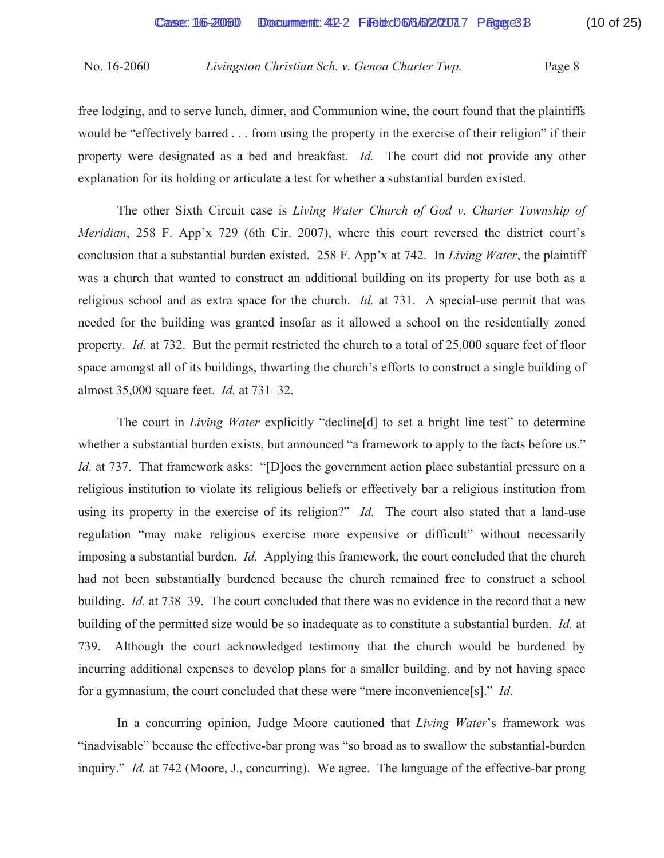free lodging, and to serve lunch, dinner, and Communion wine, the court found that the plaintiffs would be "effectively barred . . . from using the property in the exercise of their religion" if their property were designated as a bed and breakfast. *Id.* The court did not provide any other explanation for its holding or articulate a test for whether a substantial burden existed.

 The other Sixth Circuit case is *Living Water Church of God v. Charter Township of Meridian*, 258 F. App'x 729 (6th Cir. 2007), where this court reversed the district court's conclusion that a substantial burden existed. 258 F. App'x at 742. In *Living Water*, the plaintiff was a church that wanted to construct an additional building on its property for use both as a religious school and as extra space for the church. *Id.* at 731. A special-use permit that was needed for the building was granted insofar as it allowed a school on the residentially zoned property. *Id.* at 732. But the permit restricted the church to a total of 25,000 square feet of floor space amongst all of its buildings, thwarting the church's efforts to construct a single building of almost 35,000 square feet. *Id.* at 731–32.

 The court in *Living Water* explicitly "decline[d] to set a bright line test" to determine whether a substantial burden exists, but announced "a framework to apply to the facts before us." *Id.* at 737. That framework asks: "[D]oes the government action place substantial pressure on a religious institution to violate its religious beliefs or effectively bar a religious institution from using its property in the exercise of its religion?" *Id.* The court also stated that a land-use regulation "may make religious exercise more expensive or difficult" without necessarily imposing a substantial burden. *Id.* Applying this framework, the court concluded that the church had not been substantially burdened because the church remained free to construct a school building. *Id.* at 738–39. The court concluded that there was no evidence in the record that a new building of the permitted size would be so inadequate as to constitute a substantial burden. *Id.* at 739. Although the court acknowledged testimony that the church would be burdened by incurring additional expenses to develop plans for a smaller building, and by not having space for a gymnasium, the court concluded that these were "mere inconvenience[s]." *Id.*

In a concurring opinion, Judge Moore cautioned that *Living Water*'s framework was "inadvisable" because the effective-bar prong was "so broad as to swallow the substantial-burden inquiry." *Id.* at 742 (Moore, J., concurring). We agree. The language of the effective-bar prong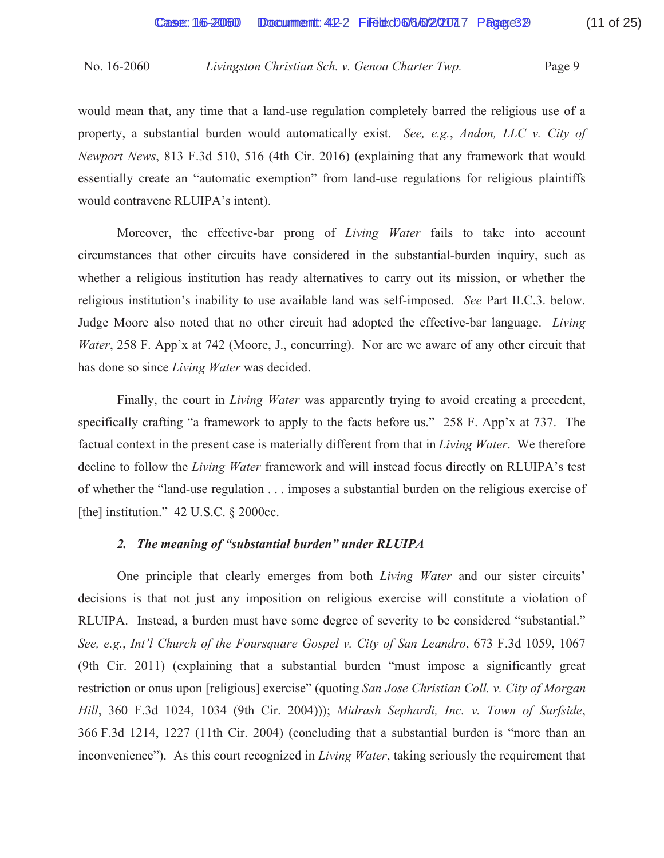would mean that, any time that a land-use regulation completely barred the religious use of a property, a substantial burden would automatically exist. *See, e.g.*, *Andon, LLC v. City of Newport News*, 813 F.3d 510, 516 (4th Cir. 2016) (explaining that any framework that would essentially create an "automatic exemption" from land-use regulations for religious plaintiffs would contravene RLUIPA's intent).

Moreover, the effective-bar prong of *Living Water* fails to take into account circumstances that other circuits have considered in the substantial-burden inquiry, such as whether a religious institution has ready alternatives to carry out its mission, or whether the religious institution's inability to use available land was self-imposed. *See* Part II.C.3. below. Judge Moore also noted that no other circuit had adopted the effective-bar language. *Living Water*, 258 F. App'x at 742 (Moore, J., concurring). Nor are we aware of any other circuit that has done so since *Living Water* was decided.

Finally, the court in *Living Water* was apparently trying to avoid creating a precedent, specifically crafting "a framework to apply to the facts before us." 258 F. App'x at 737. The factual context in the present case is materially different from that in *Living Water*. We therefore decline to follow the *Living Water* framework and will instead focus directly on RLUIPA's test of whether the "land-use regulation . . . imposes a substantial burden on the religious exercise of [the] institution." 42 U.S.C. § 2000cc.

## *2. The meaning of "substantial burden" under RLUIPA*

One principle that clearly emerges from both *Living Water* and our sister circuits' decisions is that not just any imposition on religious exercise will constitute a violation of RLUIPA. Instead, a burden must have some degree of severity to be considered "substantial." *See, e.g.*, *Int'l Church of the Foursquare Gospel v. City of San Leandro*, 673 F.3d 1059, 1067 (9th Cir. 2011) (explaining that a substantial burden "must impose a significantly great restriction or onus upon [religious] exercise" (quoting *San Jose Christian Coll. v. City of Morgan Hill*, 360 F.3d 1024, 1034 (9th Cir. 2004))); *Midrash Sephardi, Inc. v. Town of Surfside*, 366 F.3d 1214, 1227 (11th Cir. 2004) (concluding that a substantial burden is "more than an inconvenience"). As this court recognized in *Living Water*, taking seriously the requirement that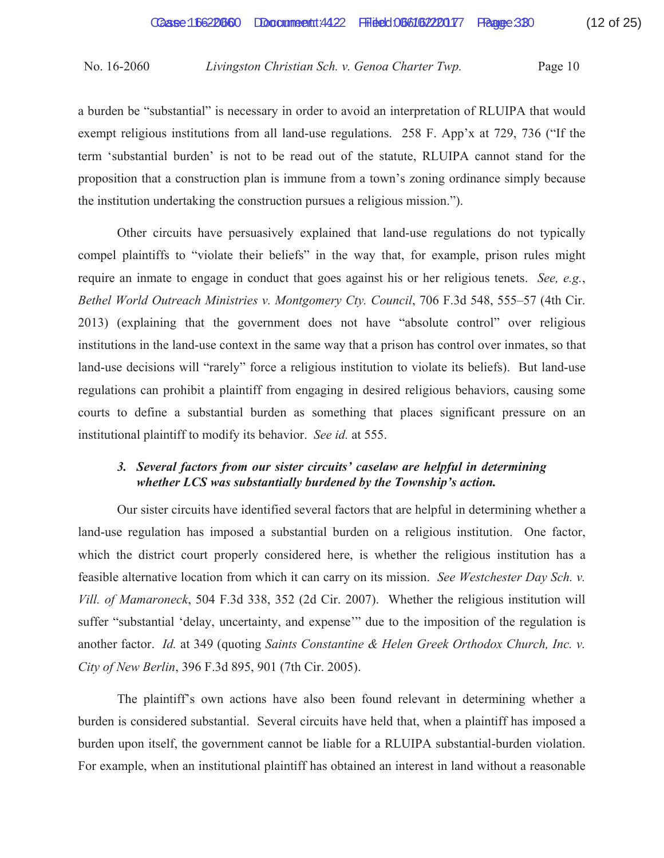a burden be "substantial" is necessary in order to avoid an interpretation of RLUIPA that would exempt religious institutions from all land-use regulations. 258 F. App'x at 729, 736 ("If the term 'substantial burden' is not to be read out of the statute, RLUIPA cannot stand for the proposition that a construction plan is immune from a town's zoning ordinance simply because the institution undertaking the construction pursues a religious mission.").

 Other circuits have persuasively explained that land-use regulations do not typically compel plaintiffs to "violate their beliefs" in the way that, for example, prison rules might require an inmate to engage in conduct that goes against his or her religious tenets. *See, e.g.*, *Bethel World Outreach Ministries v. Montgomery Cty. Council*, 706 F.3d 548, 555–57 (4th Cir. 2013) (explaining that the government does not have "absolute control" over religious institutions in the land-use context in the same way that a prison has control over inmates, so that land-use decisions will "rarely" force a religious institution to violate its beliefs). But land-use regulations can prohibit a plaintiff from engaging in desired religious behaviors, causing some courts to define a substantial burden as something that places significant pressure on an institutional plaintiff to modify its behavior. *See id.* at 555.

## *3. Several factors from our sister circuits' caselaw are helpful in determining whether LCS was substantially burdened by the Township's action.*

 Our sister circuits have identified several factors that are helpful in determining whether a land-use regulation has imposed a substantial burden on a religious institution. One factor, which the district court properly considered here, is whether the religious institution has a feasible alternative location from which it can carry on its mission. *See Westchester Day Sch. v. Vill. of Mamaroneck*, 504 F.3d 338, 352 (2d Cir. 2007). Whether the religious institution will suffer "substantial 'delay, uncertainty, and expense'" due to the imposition of the regulation is another factor. *Id.* at 349 (quoting *Saints Constantine & Helen Greek Orthodox Church, Inc. v. City of New Berlin*, 396 F.3d 895, 901 (7th Cir. 2005).

 The plaintiff's own actions have also been found relevant in determining whether a burden is considered substantial. Several circuits have held that, when a plaintiff has imposed a burden upon itself, the government cannot be liable for a RLUIPA substantial-burden violation. For example, when an institutional plaintiff has obtained an interest in land without a reasonable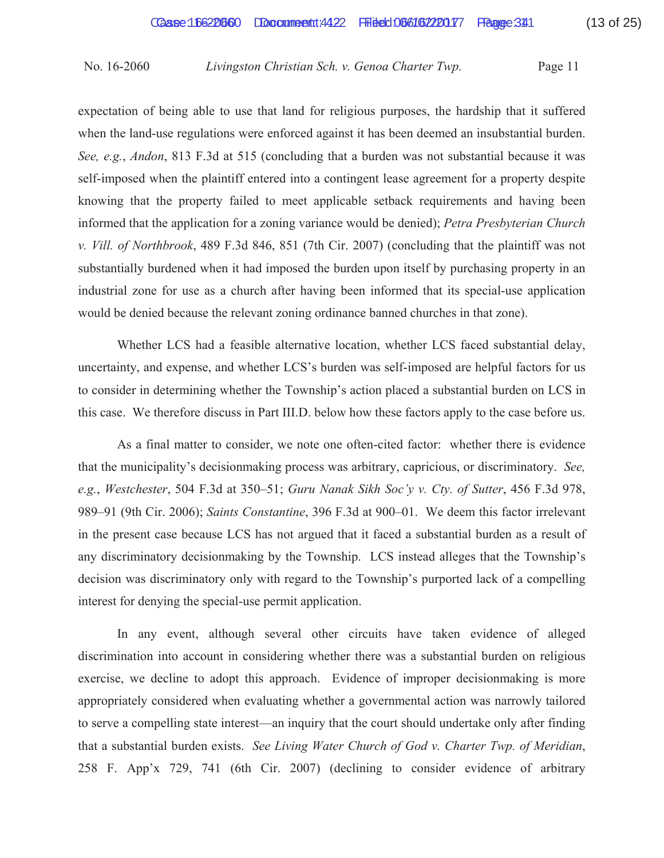expectation of being able to use that land for religious purposes, the hardship that it suffered when the land-use regulations were enforced against it has been deemed an insubstantial burden. *See, e.g.*, *Andon*, 813 F.3d at 515 (concluding that a burden was not substantial because it was self-imposed when the plaintiff entered into a contingent lease agreement for a property despite knowing that the property failed to meet applicable setback requirements and having been informed that the application for a zoning variance would be denied); *Petra Presbyterian Church v. Vill. of Northbrook*, 489 F.3d 846, 851 (7th Cir. 2007) (concluding that the plaintiff was not substantially burdened when it had imposed the burden upon itself by purchasing property in an industrial zone for use as a church after having been informed that its special-use application would be denied because the relevant zoning ordinance banned churches in that zone).

 Whether LCS had a feasible alternative location, whether LCS faced substantial delay, uncertainty, and expense, and whether LCS's burden was self-imposed are helpful factors for us to consider in determining whether the Township's action placed a substantial burden on LCS in this case. We therefore discuss in Part III.D. below how these factors apply to the case before us.

 As a final matter to consider, we note one often-cited factor: whether there is evidence that the municipality's decisionmaking process was arbitrary, capricious, or discriminatory. *See, e.g.*, *Westchester*, 504 F.3d at 350–51; *Guru Nanak Sikh Soc'y v. Cty. of Sutter*, 456 F.3d 978, 989–91 (9th Cir. 2006); *Saints Constantine*, 396 F.3d at 900–01. We deem this factor irrelevant in the present case because LCS has not argued that it faced a substantial burden as a result of any discriminatory decisionmaking by the Township. LCS instead alleges that the Township's decision was discriminatory only with regard to the Township's purported lack of a compelling interest for denying the special-use permit application.

 In any event, although several other circuits have taken evidence of alleged discrimination into account in considering whether there was a substantial burden on religious exercise, we decline to adopt this approach. Evidence of improper decisionmaking is more appropriately considered when evaluating whether a governmental action was narrowly tailored to serve a compelling state interest—an inquiry that the court should undertake only after finding that a substantial burden exists. *See Living Water Church of God v. Charter Twp. of Meridian*, 258 F. App'x 729, 741 (6th Cir. 2007) (declining to consider evidence of arbitrary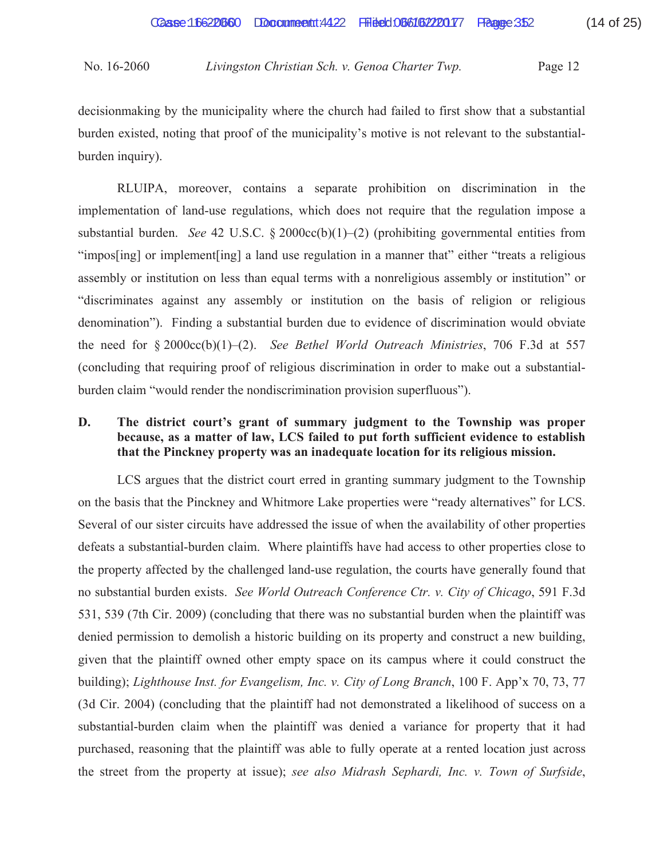decisionmaking by the municipality where the church had failed to first show that a substantial burden existed, noting that proof of the municipality's motive is not relevant to the substantialburden inquiry).

 RLUIPA, moreover, contains a separate prohibition on discrimination in the implementation of land-use regulations, which does not require that the regulation impose a substantial burden. *See* 42 U.S.C. § 2000cc(b)(1)–(2) (prohibiting governmental entities from "impos[ing] or implement[ing] a land use regulation in a manner that" either "treats a religious assembly or institution on less than equal terms with a nonreligious assembly or institution" or "discriminates against any assembly or institution on the basis of religion or religious denomination"). Finding a substantial burden due to evidence of discrimination would obviate the need for § 2000cc(b)(1)–(2). *See Bethel World Outreach Ministries*, 706 F.3d at 557 (concluding that requiring proof of religious discrimination in order to make out a substantialburden claim "would render the nondiscrimination provision superfluous").

## **D. The district court's grant of summary judgment to the Township was proper because, as a matter of law, LCS failed to put forth sufficient evidence to establish that the Pinckney property was an inadequate location for its religious mission.**

LCS argues that the district court erred in granting summary judgment to the Township on the basis that the Pinckney and Whitmore Lake properties were "ready alternatives" for LCS. Several of our sister circuits have addressed the issue of when the availability of other properties defeats a substantial-burden claim. Where plaintiffs have had access to other properties close to the property affected by the challenged land-use regulation, the courts have generally found that no substantial burden exists. *See World Outreach Conference Ctr. v. City of Chicago*, 591 F.3d 531, 539 (7th Cir. 2009) (concluding that there was no substantial burden when the plaintiff was denied permission to demolish a historic building on its property and construct a new building, given that the plaintiff owned other empty space on its campus where it could construct the building); *Lighthouse Inst. for Evangelism, Inc. v. City of Long Branch*, 100 F. App'x 70, 73, 77 (3d Cir. 2004) (concluding that the plaintiff had not demonstrated a likelihood of success on a substantial-burden claim when the plaintiff was denied a variance for property that it had purchased, reasoning that the plaintiff was able to fully operate at a rented location just across the street from the property at issue); *see also Midrash Sephardi, Inc. v. Town of Surfside*,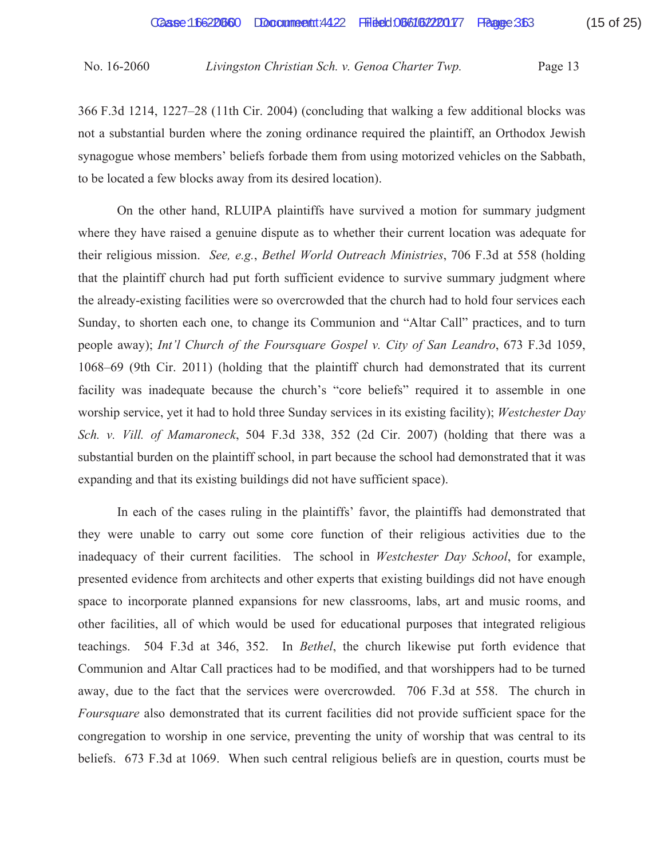366 F.3d 1214, 1227–28 (11th Cir. 2004) (concluding that walking a few additional blocks was not a substantial burden where the zoning ordinance required the plaintiff, an Orthodox Jewish synagogue whose members' beliefs forbade them from using motorized vehicles on the Sabbath, to be located a few blocks away from its desired location).

 On the other hand, RLUIPA plaintiffs have survived a motion for summary judgment where they have raised a genuine dispute as to whether their current location was adequate for their religious mission. *See, e.g.*, *Bethel World Outreach Ministries*, 706 F.3d at 558 (holding that the plaintiff church had put forth sufficient evidence to survive summary judgment where the already-existing facilities were so overcrowded that the church had to hold four services each Sunday, to shorten each one, to change its Communion and "Altar Call" practices, and to turn people away); *Int'l Church of the Foursquare Gospel v. City of San Leandro*, 673 F.3d 1059, 1068–69 (9th Cir. 2011) (holding that the plaintiff church had demonstrated that its current facility was inadequate because the church's "core beliefs" required it to assemble in one worship service, yet it had to hold three Sunday services in its existing facility); *Westchester Day Sch. v. Vill. of Mamaroneck*, 504 F.3d 338, 352 (2d Cir. 2007) (holding that there was a substantial burden on the plaintiff school, in part because the school had demonstrated that it was expanding and that its existing buildings did not have sufficient space).

 In each of the cases ruling in the plaintiffs' favor, the plaintiffs had demonstrated that they were unable to carry out some core function of their religious activities due to the inadequacy of their current facilities. The school in *Westchester Day School*, for example, presented evidence from architects and other experts that existing buildings did not have enough space to incorporate planned expansions for new classrooms, labs, art and music rooms, and other facilities, all of which would be used for educational purposes that integrated religious teachings. 504 F.3d at 346, 352. In *Bethel*, the church likewise put forth evidence that Communion and Altar Call practices had to be modified, and that worshippers had to be turned away, due to the fact that the services were overcrowded. 706 F.3d at 558. The church in *Foursquare* also demonstrated that its current facilities did not provide sufficient space for the congregation to worship in one service, preventing the unity of worship that was central to its beliefs. 673 F.3d at 1069. When such central religious beliefs are in question, courts must be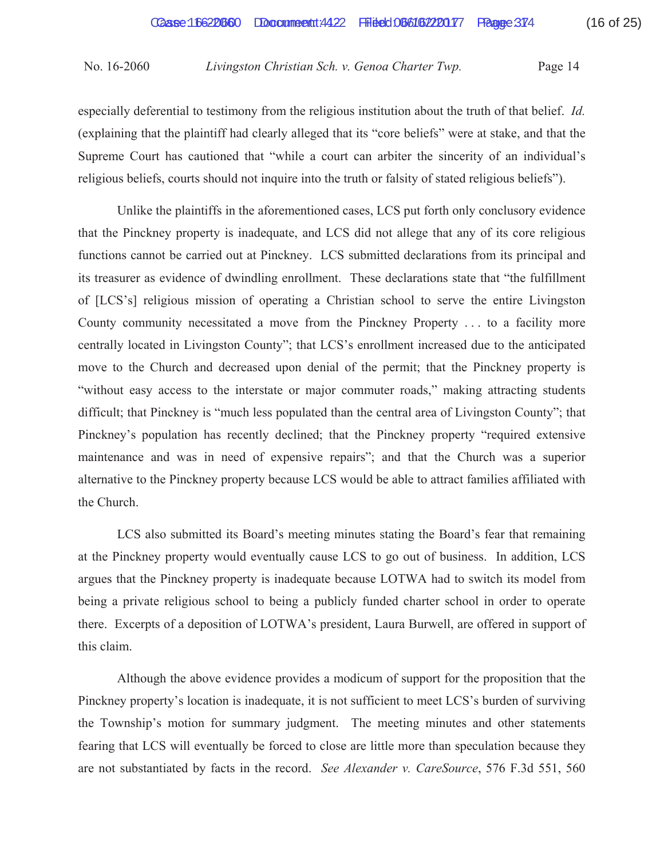especially deferential to testimony from the religious institution about the truth of that belief. *Id.* (explaining that the plaintiff had clearly alleged that its "core beliefs" were at stake, and that the Supreme Court has cautioned that "while a court can arbiter the sincerity of an individual's religious beliefs, courts should not inquire into the truth or falsity of stated religious beliefs").

 Unlike the plaintiffs in the aforementioned cases, LCS put forth only conclusory evidence that the Pinckney property is inadequate, and LCS did not allege that any of its core religious functions cannot be carried out at Pinckney. LCS submitted declarations from its principal and its treasurer as evidence of dwindling enrollment. These declarations state that "the fulfillment of [LCS's] religious mission of operating a Christian school to serve the entire Livingston County community necessitated a move from the Pinckney Property . . . to a facility more centrally located in Livingston County"; that LCS's enrollment increased due to the anticipated move to the Church and decreased upon denial of the permit; that the Pinckney property is "without easy access to the interstate or major commuter roads," making attracting students difficult; that Pinckney is "much less populated than the central area of Livingston County"; that Pinckney's population has recently declined; that the Pinckney property "required extensive maintenance and was in need of expensive repairs"; and that the Church was a superior alternative to the Pinckney property because LCS would be able to attract families affiliated with the Church.

 LCS also submitted its Board's meeting minutes stating the Board's fear that remaining at the Pinckney property would eventually cause LCS to go out of business. In addition, LCS argues that the Pinckney property is inadequate because LOTWA had to switch its model from being a private religious school to being a publicly funded charter school in order to operate there. Excerpts of a deposition of LOTWA's president, Laura Burwell, are offered in support of this claim.

 Although the above evidence provides a modicum of support for the proposition that the Pinckney property's location is inadequate, it is not sufficient to meet LCS's burden of surviving the Township's motion for summary judgment. The meeting minutes and other statements fearing that LCS will eventually be forced to close are little more than speculation because they are not substantiated by facts in the record. *See Alexander v. CareSource*, 576 F.3d 551, 560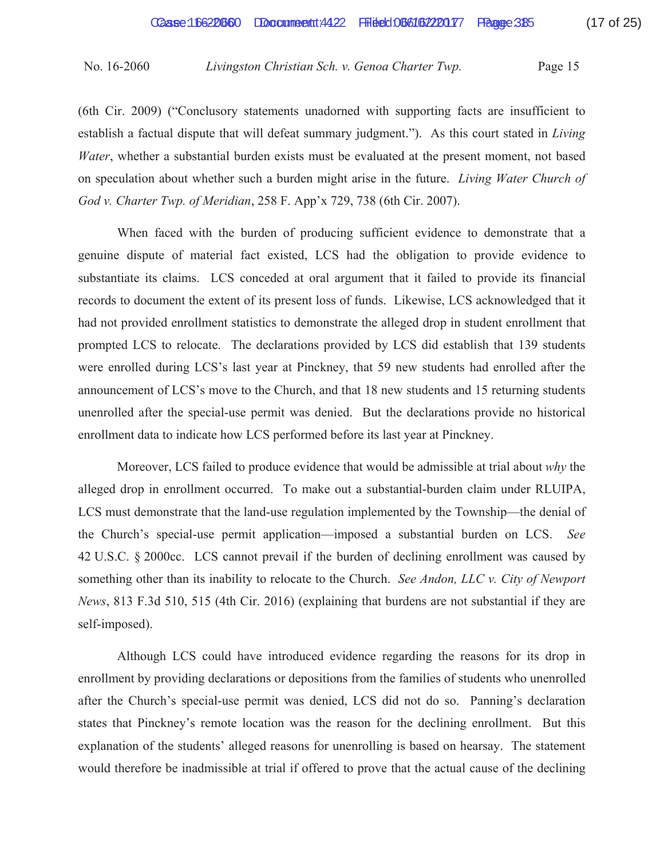(6th Cir. 2009) ("Conclusory statements unadorned with supporting facts are insufficient to establish a factual dispute that will defeat summary judgment."). As this court stated in *Living Water*, whether a substantial burden exists must be evaluated at the present moment, not based on speculation about whether such a burden might arise in the future. *Living Water Church of God v. Charter Twp. of Meridian*, 258 F. App'x 729, 738 (6th Cir. 2007).

 When faced with the burden of producing sufficient evidence to demonstrate that a genuine dispute of material fact existed, LCS had the obligation to provide evidence to substantiate its claims. LCS conceded at oral argument that it failed to provide its financial records to document the extent of its present loss of funds. Likewise, LCS acknowledged that it had not provided enrollment statistics to demonstrate the alleged drop in student enrollment that prompted LCS to relocate. The declarations provided by LCS did establish that 139 students were enrolled during LCS's last year at Pinckney, that 59 new students had enrolled after the announcement of LCS's move to the Church, and that 18 new students and 15 returning students unenrolled after the special-use permit was denied. But the declarations provide no historical enrollment data to indicate how LCS performed before its last year at Pinckney.

 Moreover, LCS failed to produce evidence that would be admissible at trial about *why* the alleged drop in enrollment occurred. To make out a substantial-burden claim under RLUIPA, LCS must demonstrate that the land-use regulation implemented by the Township—the denial of the Church's special-use permit application—imposed a substantial burden on LCS. *See*  42 U.S.C. § 2000cc. LCS cannot prevail if the burden of declining enrollment was caused by something other than its inability to relocate to the Church. *See Andon, LLC v. City of Newport News*, 813 F.3d 510, 515 (4th Cir. 2016) (explaining that burdens are not substantial if they are self-imposed).

 Although LCS could have introduced evidence regarding the reasons for its drop in enrollment by providing declarations or depositions from the families of students who unenrolled after the Church's special-use permit was denied, LCS did not do so. Panning's declaration states that Pinckney's remote location was the reason for the declining enrollment. But this explanation of the students' alleged reasons for unenrolling is based on hearsay. The statement would therefore be inadmissible at trial if offered to prove that the actual cause of the declining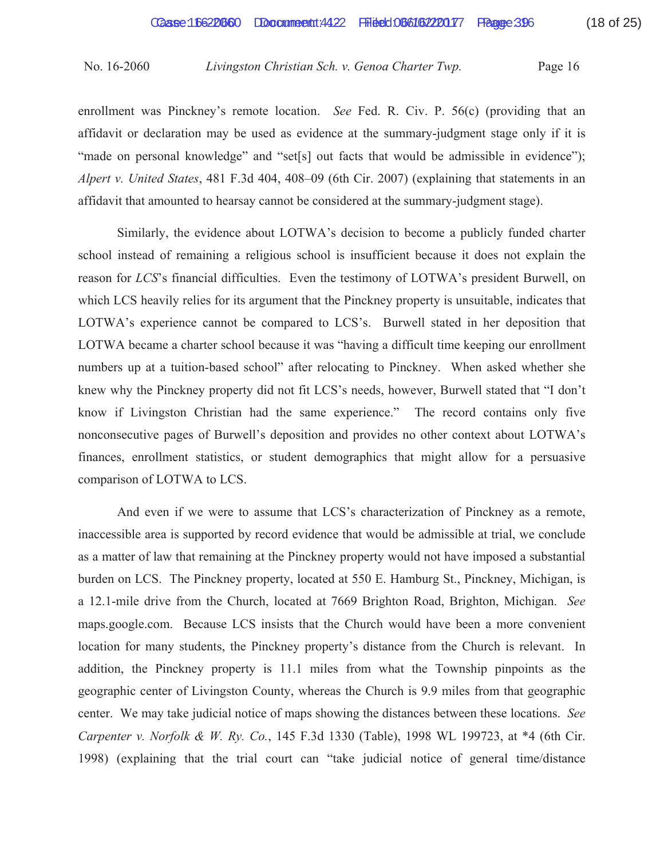enrollment was Pinckney's remote location. *See* Fed. R. Civ. P. 56(c) (providing that an affidavit or declaration may be used as evidence at the summary-judgment stage only if it is "made on personal knowledge" and "set[s] out facts that would be admissible in evidence"); *Alpert v. United States*, 481 F.3d 404, 408–09 (6th Cir. 2007) (explaining that statements in an affidavit that amounted to hearsay cannot be considered at the summary-judgment stage).

 Similarly, the evidence about LOTWA's decision to become a publicly funded charter school instead of remaining a religious school is insufficient because it does not explain the reason for *LCS*'s financial difficulties. Even the testimony of LOTWA's president Burwell, on which LCS heavily relies for its argument that the Pinckney property is unsuitable, indicates that LOTWA's experience cannot be compared to LCS's. Burwell stated in her deposition that LOTWA became a charter school because it was "having a difficult time keeping our enrollment numbers up at a tuition-based school" after relocating to Pinckney. When asked whether she knew why the Pinckney property did not fit LCS's needs, however, Burwell stated that "I don't know if Livingston Christian had the same experience." The record contains only five nonconsecutive pages of Burwell's deposition and provides no other context about LOTWA's finances, enrollment statistics, or student demographics that might allow for a persuasive comparison of LOTWA to LCS.

 And even if we were to assume that LCS's characterization of Pinckney as a remote, inaccessible area is supported by record evidence that would be admissible at trial, we conclude as a matter of law that remaining at the Pinckney property would not have imposed a substantial burden on LCS. The Pinckney property, located at 550 E. Hamburg St., Pinckney, Michigan, is a 12.1-mile drive from the Church, located at 7669 Brighton Road, Brighton, Michigan. *See*  maps.google.com. Because LCS insists that the Church would have been a more convenient location for many students, the Pinckney property's distance from the Church is relevant. In addition, the Pinckney property is 11.1 miles from what the Township pinpoints as the geographic center of Livingston County, whereas the Church is 9.9 miles from that geographic center. We may take judicial notice of maps showing the distances between these locations. *See Carpenter v. Norfolk & W. Ry. Co.*, 145 F.3d 1330 (Table), 1998 WL 199723, at \*4 (6th Cir. 1998) (explaining that the trial court can "take judicial notice of general time/distance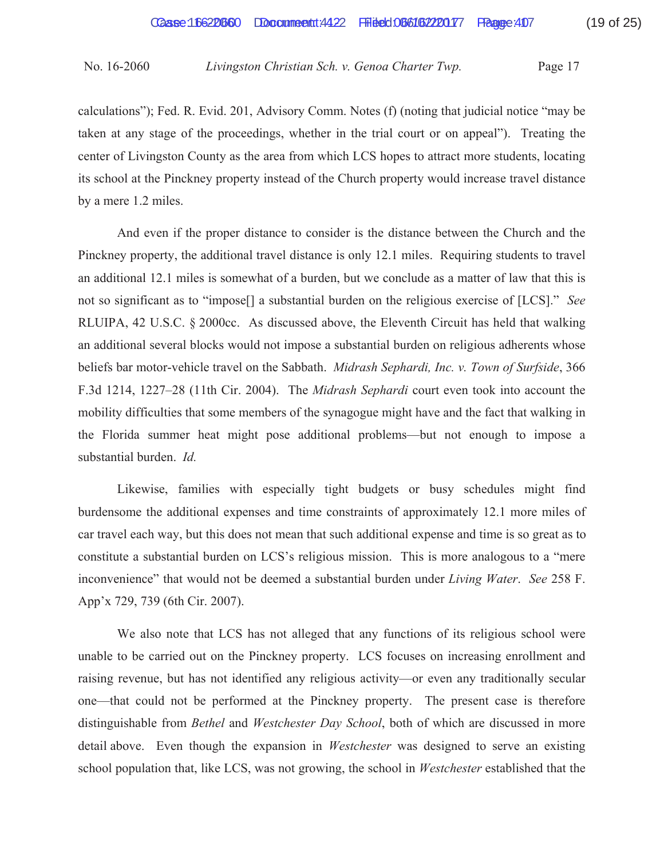calculations"); Fed. R. Evid. 201, Advisory Comm. Notes (f) (noting that judicial notice "may be taken at any stage of the proceedings, whether in the trial court or on appeal"). Treating the center of Livingston County as the area from which LCS hopes to attract more students, locating its school at the Pinckney property instead of the Church property would increase travel distance by a mere 1.2 miles.

 And even if the proper distance to consider is the distance between the Church and the Pinckney property, the additional travel distance is only 12.1 miles. Requiring students to travel an additional 12.1 miles is somewhat of a burden, but we conclude as a matter of law that this is not so significant as to "impose[] a substantial burden on the religious exercise of [LCS]." *See* RLUIPA, 42 U.S.C. § 2000cc. As discussed above, the Eleventh Circuit has held that walking an additional several blocks would not impose a substantial burden on religious adherents whose beliefs bar motor-vehicle travel on the Sabbath. *Midrash Sephardi, Inc. v. Town of Surfside*, 366 F.3d 1214, 1227–28 (11th Cir. 2004). The *Midrash Sephardi* court even took into account the mobility difficulties that some members of the synagogue might have and the fact that walking in the Florida summer heat might pose additional problems—but not enough to impose a substantial burden. *Id.*

Likewise, families with especially tight budgets or busy schedules might find burdensome the additional expenses and time constraints of approximately 12.1 more miles of car travel each way, but this does not mean that such additional expense and time is so great as to constitute a substantial burden on LCS's religious mission. This is more analogous to a "mere inconvenience" that would not be deemed a substantial burden under *Living Water*. *See* 258 F. App'x 729, 739 (6th Cir. 2007).

 We also note that LCS has not alleged that any functions of its religious school were unable to be carried out on the Pinckney property. LCS focuses on increasing enrollment and raising revenue, but has not identified any religious activity—or even any traditionally secular one—that could not be performed at the Pinckney property. The present case is therefore distinguishable from *Bethel* and *Westchester Day School*, both of which are discussed in more detail above. Even though the expansion in *Westchester* was designed to serve an existing school population that, like LCS, was not growing, the school in *Westchester* established that the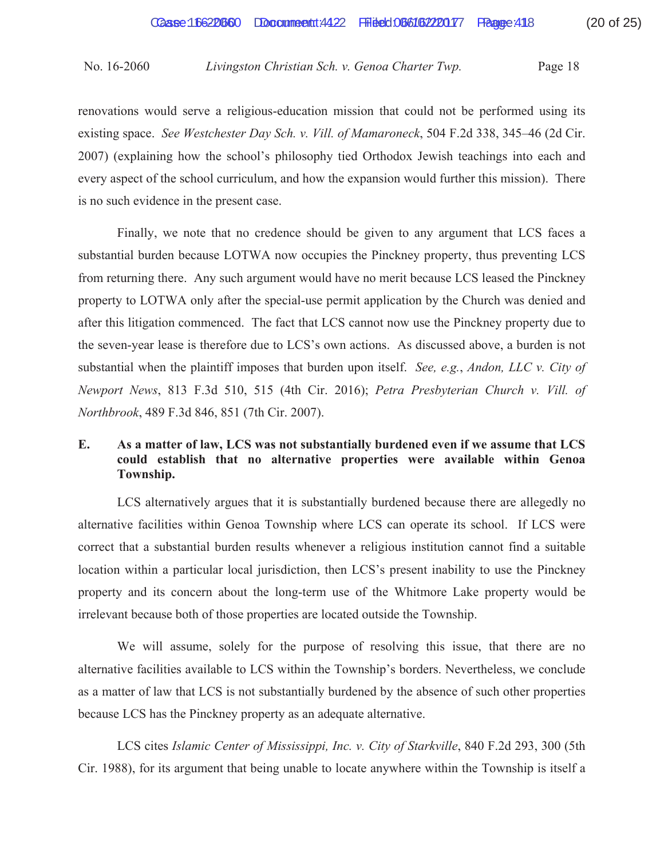renovations would serve a religious-education mission that could not be performed using its existing space. *See Westchester Day Sch. v. Vill. of Mamaroneck*, 504 F.2d 338, 345–46 (2d Cir. 2007) (explaining how the school's philosophy tied Orthodox Jewish teachings into each and every aspect of the school curriculum, and how the expansion would further this mission). There is no such evidence in the present case.

 Finally, we note that no credence should be given to any argument that LCS faces a substantial burden because LOTWA now occupies the Pinckney property, thus preventing LCS from returning there. Any such argument would have no merit because LCS leased the Pinckney property to LOTWA only after the special-use permit application by the Church was denied and after this litigation commenced. The fact that LCS cannot now use the Pinckney property due to the seven-year lease is therefore due to LCS's own actions. As discussed above, a burden is not substantial when the plaintiff imposes that burden upon itself. *See, e.g.*, *Andon, LLC v. City of Newport News*, 813 F.3d 510, 515 (4th Cir. 2016); *Petra Presbyterian Church v. Vill. of Northbrook*, 489 F.3d 846, 851 (7th Cir. 2007).

## **E. As a matter of law, LCS was not substantially burdened even if we assume that LCS could establish that no alternative properties were available within Genoa Township.**

 LCS alternatively argues that it is substantially burdened because there are allegedly no alternative facilities within Genoa Township where LCS can operate its school. If LCS were correct that a substantial burden results whenever a religious institution cannot find a suitable location within a particular local jurisdiction, then LCS's present inability to use the Pinckney property and its concern about the long-term use of the Whitmore Lake property would be irrelevant because both of those properties are located outside the Township.

 We will assume, solely for the purpose of resolving this issue, that there are no alternative facilities available to LCS within the Township's borders. Nevertheless, we conclude as a matter of law that LCS is not substantially burdened by the absence of such other properties because LCS has the Pinckney property as an adequate alternative.

 LCS cites *Islamic Center of Mississippi, Inc. v. City of Starkville*, 840 F.2d 293, 300 (5th Cir. 1988), for its argument that being unable to locate anywhere within the Township is itself a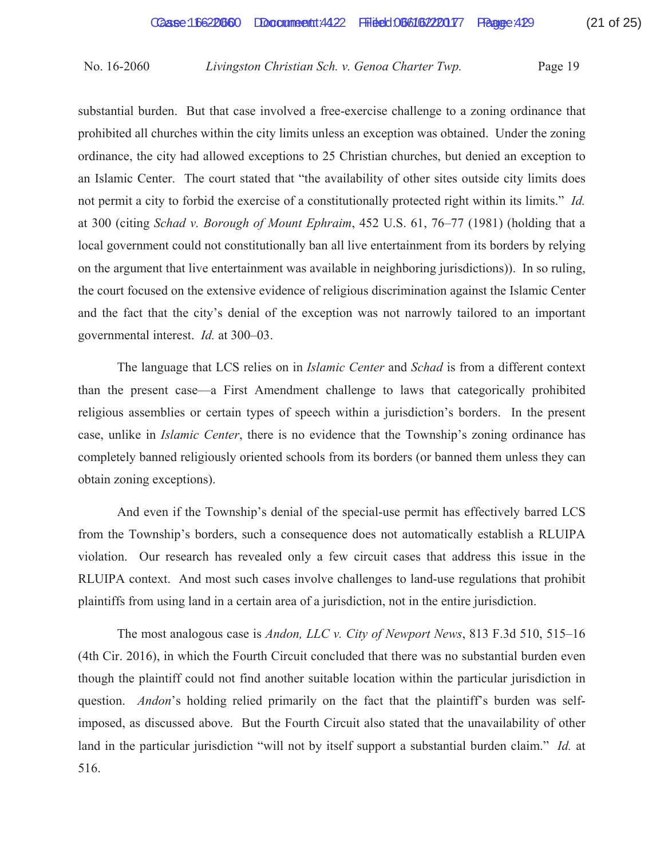substantial burden. But that case involved a free-exercise challenge to a zoning ordinance that prohibited all churches within the city limits unless an exception was obtained. Under the zoning ordinance, the city had allowed exceptions to 25 Christian churches, but denied an exception to an Islamic Center. The court stated that "the availability of other sites outside city limits does not permit a city to forbid the exercise of a constitutionally protected right within its limits." *Id.* at 300 (citing *Schad v. Borough of Mount Ephraim*, 452 U.S. 61, 76–77 (1981) (holding that a local government could not constitutionally ban all live entertainment from its borders by relying on the argument that live entertainment was available in neighboring jurisdictions)). In so ruling, the court focused on the extensive evidence of religious discrimination against the Islamic Center and the fact that the city's denial of the exception was not narrowly tailored to an important governmental interest. *Id.* at 300–03.

 The language that LCS relies on in *Islamic Center* and *Schad* is from a different context than the present case—a First Amendment challenge to laws that categorically prohibited religious assemblies or certain types of speech within a jurisdiction's borders. In the present case, unlike in *Islamic Center*, there is no evidence that the Township's zoning ordinance has completely banned religiously oriented schools from its borders (or banned them unless they can obtain zoning exceptions).

 And even if the Township's denial of the special-use permit has effectively barred LCS from the Township's borders, such a consequence does not automatically establish a RLUIPA violation. Our research has revealed only a few circuit cases that address this issue in the RLUIPA context. And most such cases involve challenges to land-use regulations that prohibit plaintiffs from using land in a certain area of a jurisdiction, not in the entire jurisdiction.

 The most analogous case is *Andon, LLC v. City of Newport News*, 813 F.3d 510, 515–16 (4th Cir. 2016), in which the Fourth Circuit concluded that there was no substantial burden even though the plaintiff could not find another suitable location within the particular jurisdiction in question. *Andon*'s holding relied primarily on the fact that the plaintiff's burden was selfimposed, as discussed above. But the Fourth Circuit also stated that the unavailability of other land in the particular jurisdiction "will not by itself support a substantial burden claim." *Id.* at 516.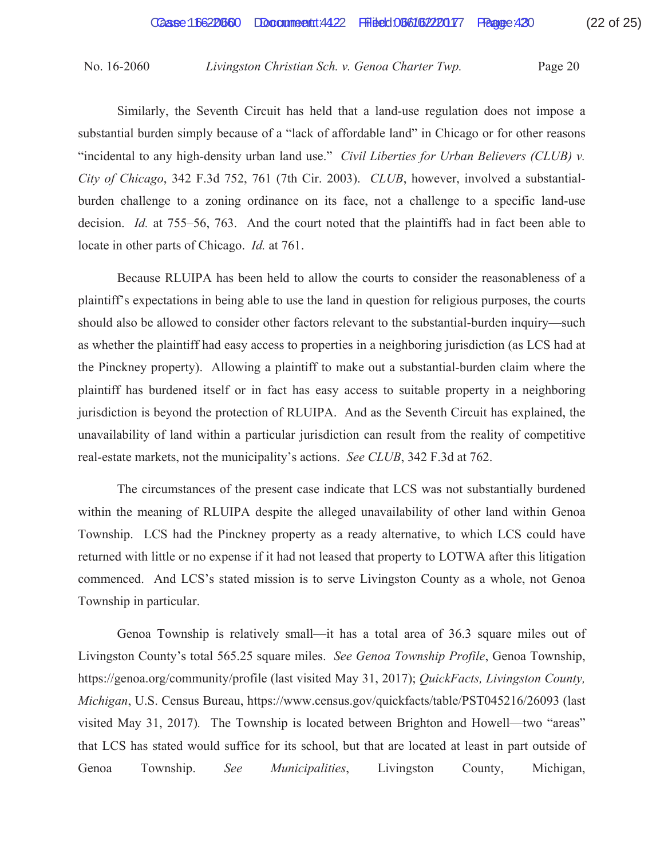Similarly, the Seventh Circuit has held that a land-use regulation does not impose a substantial burden simply because of a "lack of affordable land" in Chicago or for other reasons "incidental to any high-density urban land use." *Civil Liberties for Urban Believers (CLUB) v. City of Chicago*, 342 F.3d 752, 761 (7th Cir. 2003). *CLUB*, however, involved a substantialburden challenge to a zoning ordinance on its face, not a challenge to a specific land-use decision. *Id.* at 755–56, 763. And the court noted that the plaintiffs had in fact been able to locate in other parts of Chicago. *Id.* at 761.

 Because RLUIPA has been held to allow the courts to consider the reasonableness of a plaintiff's expectations in being able to use the land in question for religious purposes, the courts should also be allowed to consider other factors relevant to the substantial-burden inquiry—such as whether the plaintiff had easy access to properties in a neighboring jurisdiction (as LCS had at the Pinckney property). Allowing a plaintiff to make out a substantial-burden claim where the plaintiff has burdened itself or in fact has easy access to suitable property in a neighboring jurisdiction is beyond the protection of RLUIPA. And as the Seventh Circuit has explained, the unavailability of land within a particular jurisdiction can result from the reality of competitive real-estate markets, not the municipality's actions. *See CLUB*, 342 F.3d at 762.

 The circumstances of the present case indicate that LCS was not substantially burdened within the meaning of RLUIPA despite the alleged unavailability of other land within Genoa Township. LCS had the Pinckney property as a ready alternative, to which LCS could have returned with little or no expense if it had not leased that property to LOTWA after this litigation commenced. And LCS's stated mission is to serve Livingston County as a whole, not Genoa Township in particular.

 Genoa Township is relatively small—it has a total area of 36.3 square miles out of Livingston County's total 565.25 square miles. *See Genoa Township Profile*, Genoa Township, https://genoa.org/community/profile (last visited May 31, 2017); *QuickFacts, Livingston County, Michigan*, U.S. Census Bureau, https://www.census.gov/quickfacts/table/PST045216/26093 (last visited May 31, 2017)*.* The Township is located between Brighton and Howell—two "areas" that LCS has stated would suffice for its school, but that are located at least in part outside of Genoa Township. *See Municipalities*, Livingston County, Michigan,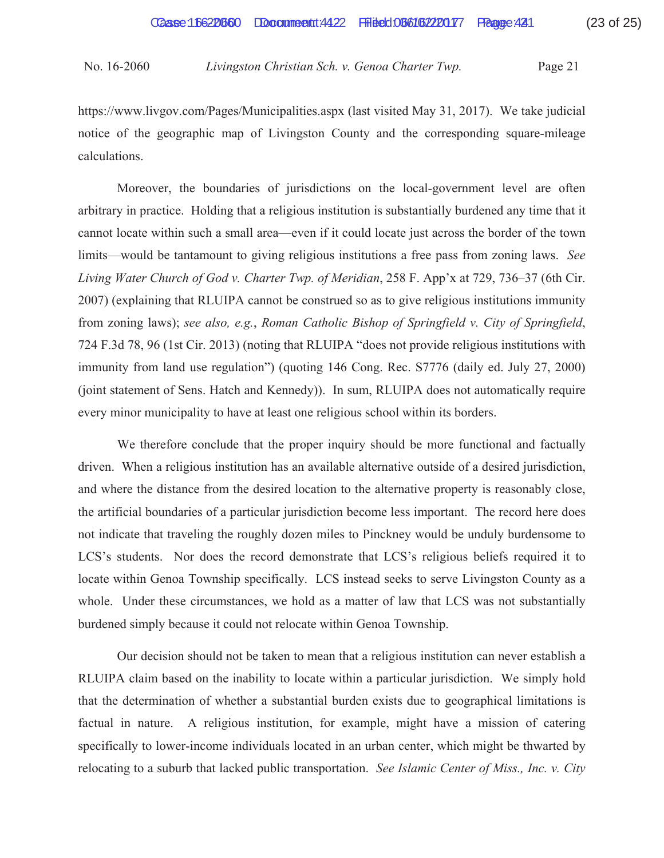https://www.livgov.com/Pages/Municipalities.aspx (last visited May 31, 2017). We take judicial notice of the geographic map of Livingston County and the corresponding square-mileage calculations.

 Moreover, the boundaries of jurisdictions on the local-government level are often arbitrary in practice. Holding that a religious institution is substantially burdened any time that it cannot locate within such a small area—even if it could locate just across the border of the town limits—would be tantamount to giving religious institutions a free pass from zoning laws. *See Living Water Church of God v. Charter Twp. of Meridian*, 258 F. App'x at 729, 736–37 (6th Cir. 2007) (explaining that RLUIPA cannot be construed so as to give religious institutions immunity from zoning laws); *see also, e.g.*, *Roman Catholic Bishop of Springfield v. City of Springfield*, 724 F.3d 78, 96 (1st Cir. 2013) (noting that RLUIPA "does not provide religious institutions with immunity from land use regulation") (quoting 146 Cong. Rec. S7776 (daily ed. July 27, 2000) (joint statement of Sens. Hatch and Kennedy)). In sum, RLUIPA does not automatically require every minor municipality to have at least one religious school within its borders.

 We therefore conclude that the proper inquiry should be more functional and factually driven. When a religious institution has an available alternative outside of a desired jurisdiction, and where the distance from the desired location to the alternative property is reasonably close, the artificial boundaries of a particular jurisdiction become less important. The record here does not indicate that traveling the roughly dozen miles to Pinckney would be unduly burdensome to LCS's students. Nor does the record demonstrate that LCS's religious beliefs required it to locate within Genoa Township specifically. LCS instead seeks to serve Livingston County as a whole. Under these circumstances, we hold as a matter of law that LCS was not substantially burdened simply because it could not relocate within Genoa Township.

 Our decision should not be taken to mean that a religious institution can never establish a RLUIPA claim based on the inability to locate within a particular jurisdiction. We simply hold that the determination of whether a substantial burden exists due to geographical limitations is factual in nature. A religious institution, for example, might have a mission of catering specifically to lower-income individuals located in an urban center, which might be thwarted by relocating to a suburb that lacked public transportation. *See Islamic Center of Miss., Inc. v. City*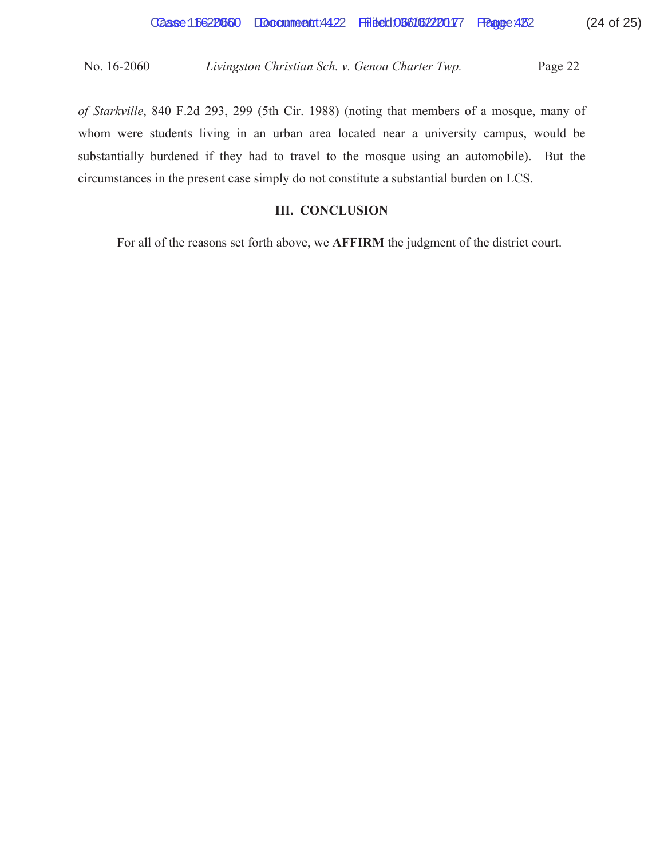*of Starkville*, 840 F.2d 293, 299 (5th Cir. 1988) (noting that members of a mosque, many of whom were students living in an urban area located near a university campus, would be substantially burdened if they had to travel to the mosque using an automobile). But the circumstances in the present case simply do not constitute a substantial burden on LCS.

## **III. CONCLUSION**

For all of the reasons set forth above, we **AFFIRM** the judgment of the district court.